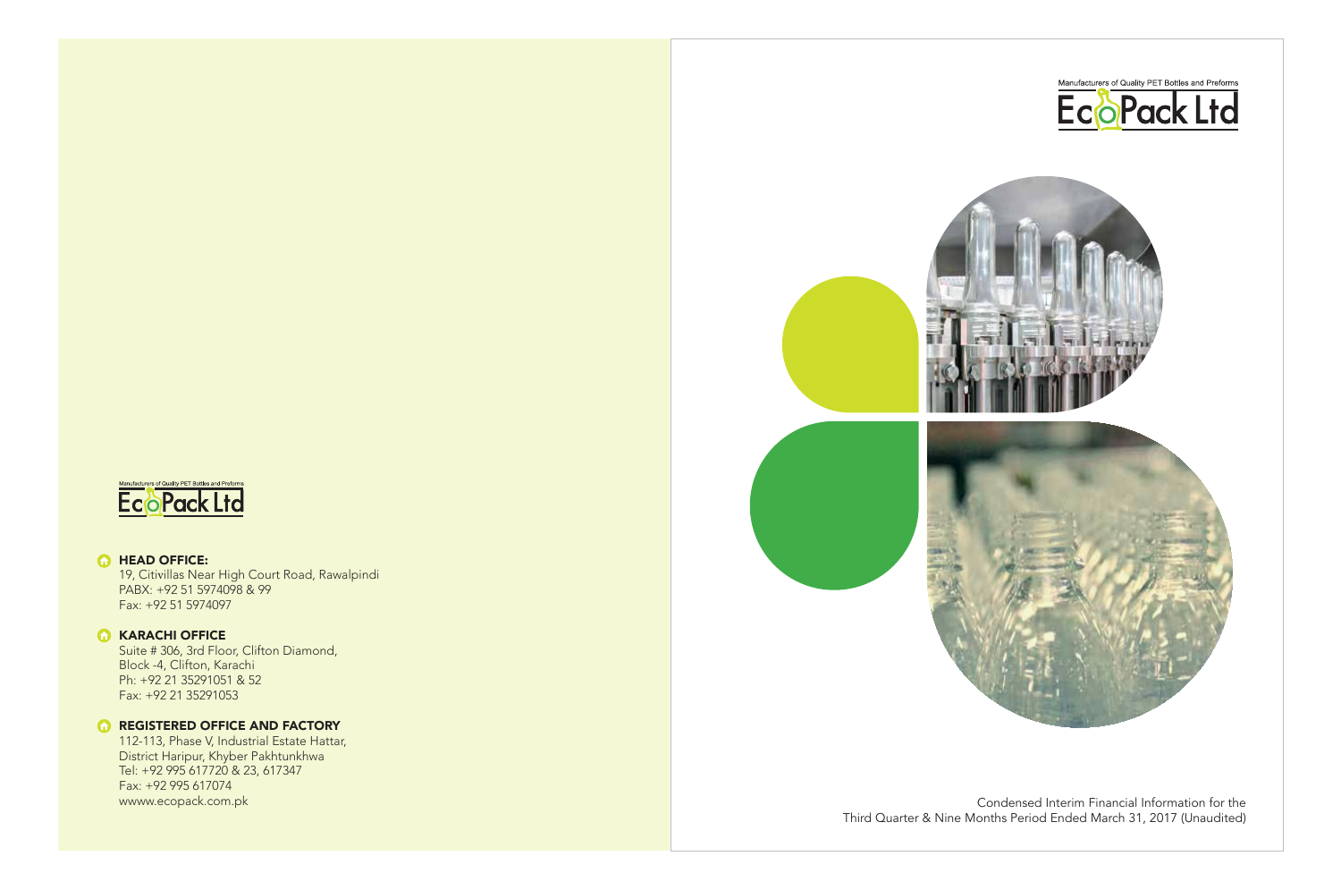



www.ecopack.com.pk extensive condensed Interim Financial Information for the Third Quarter & Nine Months Period Ended March 31, 2017 (Unaudited)



## **G** HEAD OFFICE:

19, Citi villas Near High Court Road, Rawalpindi PABX: +92 51 5974098 & 99 Fax: +92 51 5974097

## **G** KARACHI OFFICE

Suite # 306, 3rd Floor, Clifton Diamond, Block -4, Clifton, Karachi Ph: +92 21 35291051 & 52 Fax: +92 21 35291053

## **REGISTERED OFFICE AND FACTORY**

112-113, Phase V, Industrial Estate Hattar, District Haripur, Khyber Pakhtunkhwa Tel: +92 995 617720 & 23, 617347 Fax: +92 995 617074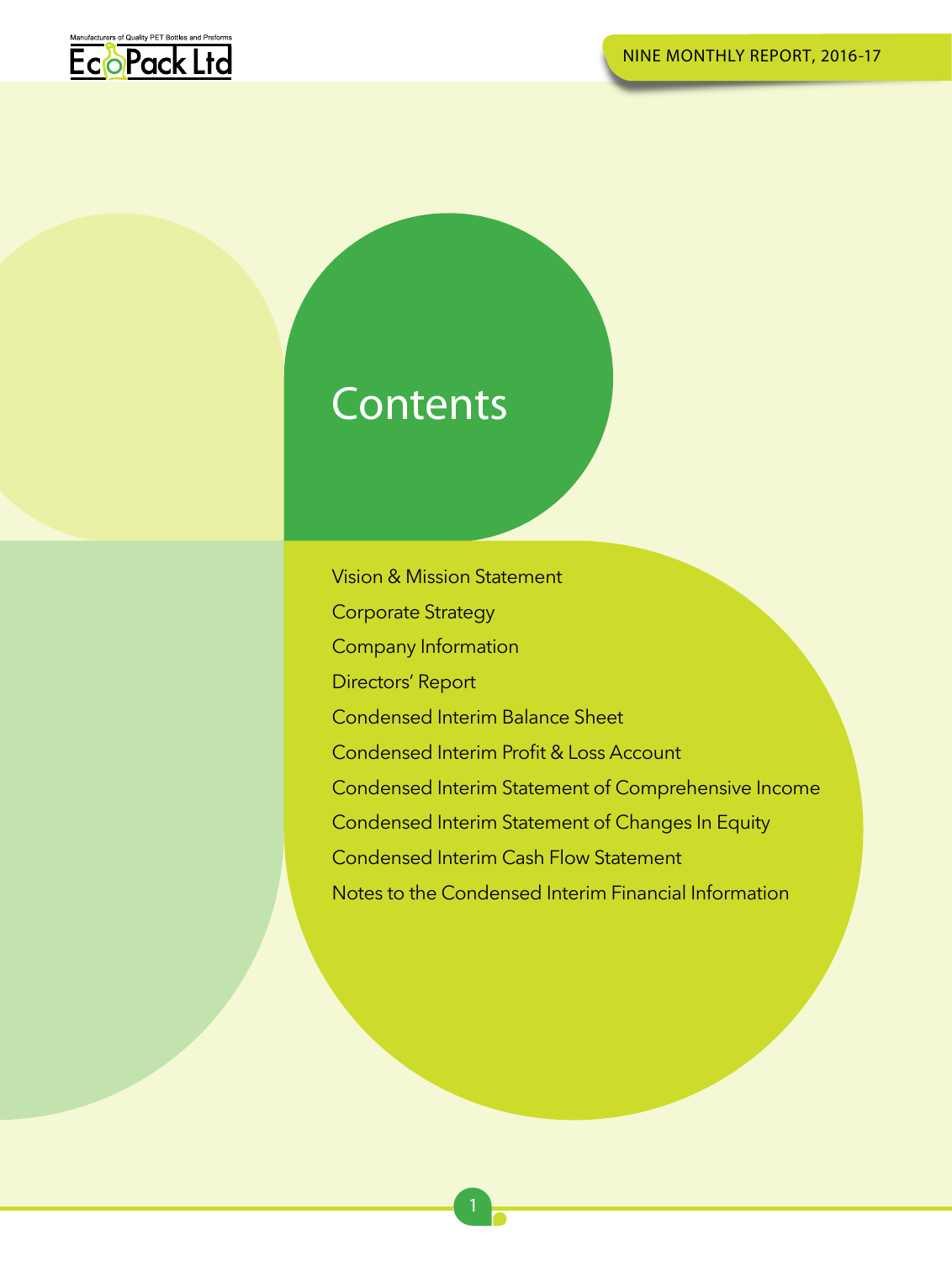

## **Contents**

Vision & Mission Statement Corporate Strategy Company Information Directors' Report Condensed Interim Balance Sheet Condensed Interim Profit & Loss Account Condensed Interim Statement of Comprehensive Income Condensed Interim Statement of Changes In Equity Condensed Interim Cash Flow Statement Notes to the Condensed Interim Financial Information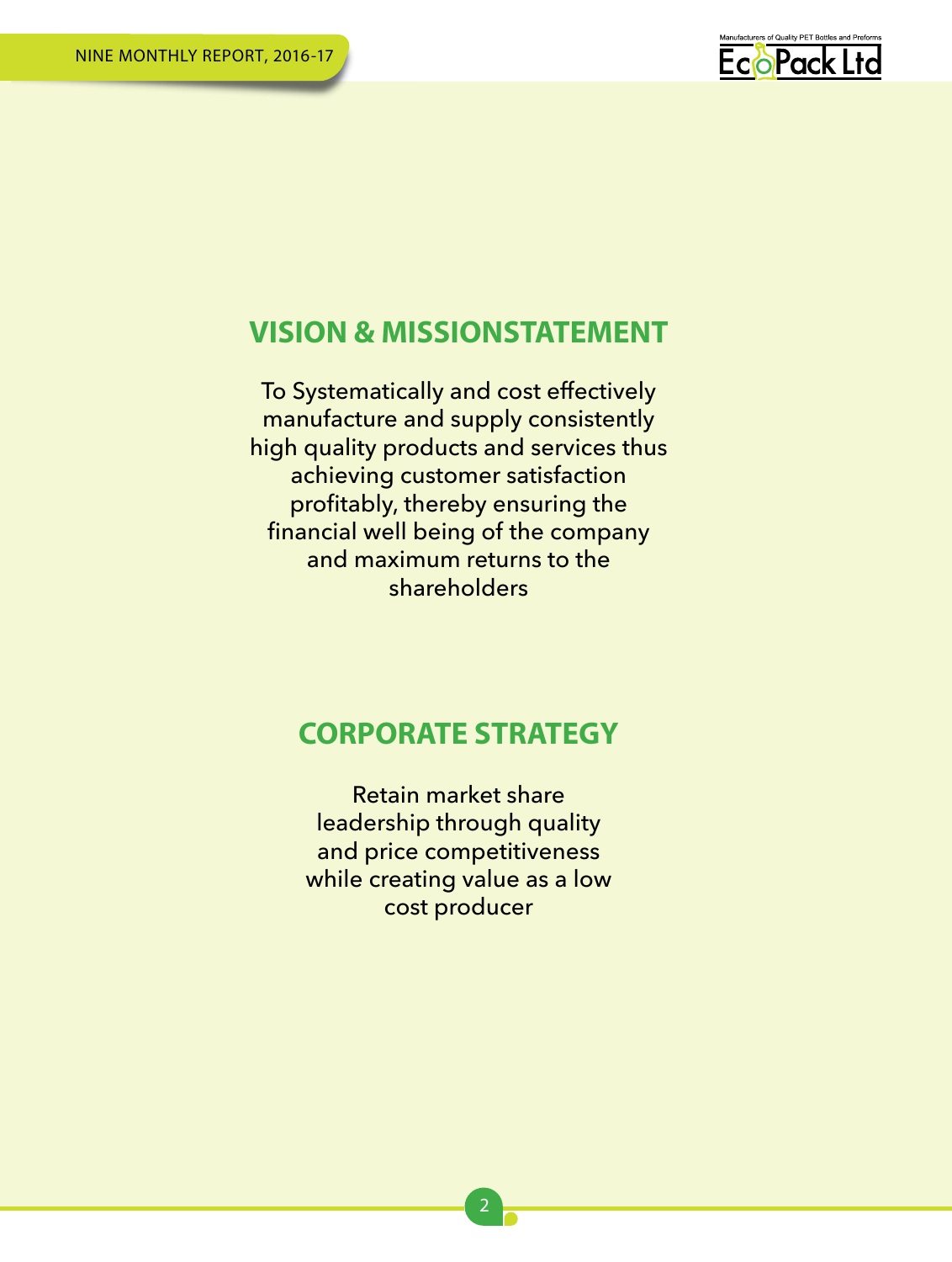

## **VISION & MISSIONSTATEMENT**

To Systematically and cost effectively manufacture and supply consistently high quality products and services thus achieving customer satisfaction profitably, thereby ensuring the financial well being of the company and maximum returns to the shareholders

## **CORPORATE STRATEGY**

Retain market share leadership through quality and price competitiveness while creating value as a low cost producer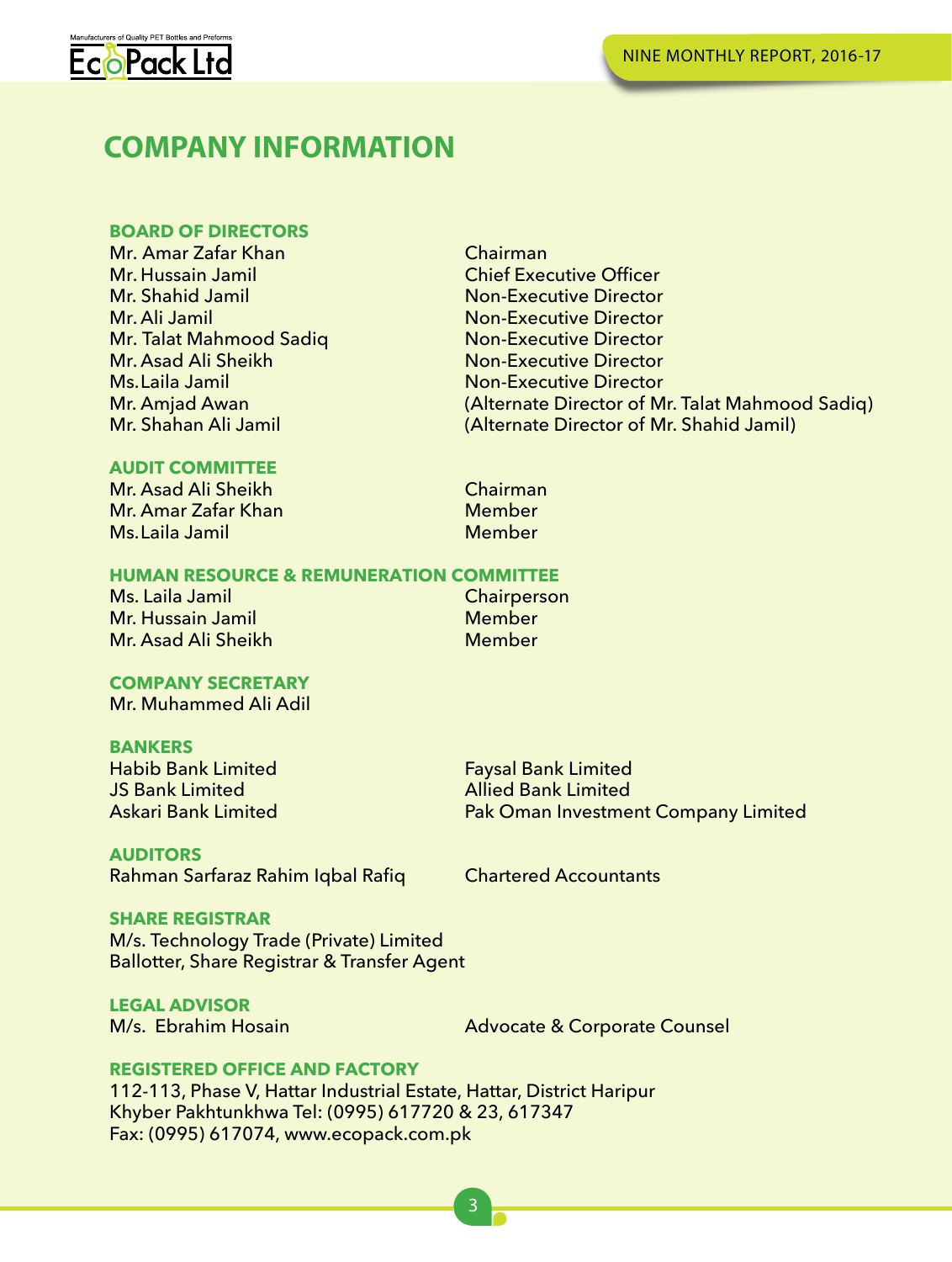

## **COMPANY INFORMATION**

## **BOARD OF DIRECTORS**

Mr. Amar Zafar Khan Chairman Chairman<br>Mr. Hussain Jamil Chief Exe Mr. Hussain Jamil Chief Executive Officer Mr. Shahid Jamil Non-Executive Director<br>Mr. Ali Jamil Non-Executive Director Mr. Talat Mahmood Sadiq<br>Mr. Asad Ali Sheikh Mr. Asad Ali Sheikh Non-Executive Director<br>
Ms. Laila Jamil Non-Executive Director Ms.Laila Jamil Non-Executive Director<br>Mr. Amjad Awan (Alternate Director of M

**Non-Executive Director<br>Non-Executive Director** (Alternate Director of Mr. Talat Mahmood Sadiq) Mr. Shahan Ali Jamil (Alternate Director of Mr. Shahid Jamil)

## **AUDIT COMMITTEE**

Mr. Asad Ali Sheikh Chairman<br>Mr. Amar Zafar Khan Chairman Chairman Mr. Amar Zafar Khan Member<br>Ms. Laila Jamil Member Member Ms. Laila Jamil

## **HUMAN RESOURCE & REMUNERATION COMMITTEE**

Ms. Laila Jamil Chairperson Chairperson Chairperson Chairperson Chairperson Chairperson Chairperson Chairperso<br>Member Mr. Hussain Jamil Member Mr. Asad Ali Sheikh

## **COMPANY SECRETARY**

Mr. Muhammed Ali Adil

**BANKERS**<br>Habib Bank Limited Habib Bank Limited Faysal Bank Limited JS Bank Limited Allied Bank Limited

**AUDITORS** Rahman Sarfaraz Rahim Iqbal Rafiq Chartered Accountants

Pak Oman Investment Company Limited

## **SHARE REGISTRAR**

M/s. Technology Trade (Private) Limited Ballotter, Share Registrar & Transfer Agent

**LEGAL ADVISOR**

Advocate & Corporate Counsel

## **REGISTERED OFFICE AND FACTORY**

112-113, Phase V, Hattar Industrial Estate, Hattar, District Haripur Khyber Pakhtunkhwa Tel: (0995) 617720 & 23, 617347 Fax: (0995) 617074, www.ecopack.com.pk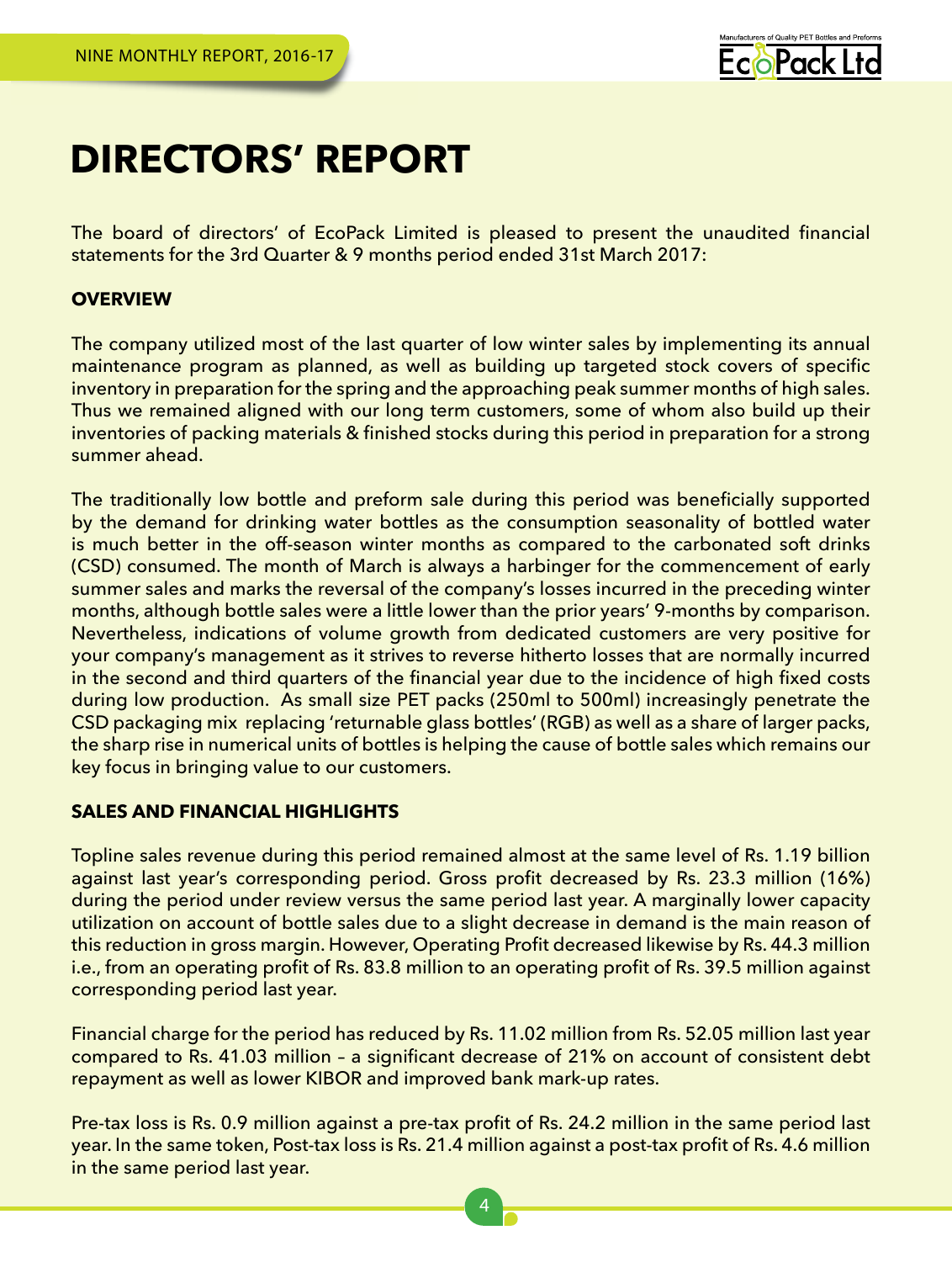

## **DIRECTORS' REPORT**

The board of directors' of EcoPack Limited is pleased to present the unaudited financial statements for the 3rd Quarter & 9 months period ended 31st March 2017:

## **OVERVIEW**

The company utilized most of the last quarter of low winter sales by implementing its annual maintenance program as planned, as well as building up targeted stock covers of specific inventory in preparation for the spring and the approaching peak summer months of high sales. Thus we remained aligned with our long term customers, some of whom also build up their inventories of packing materials & finished stocks during this period in preparation for a strong summer ahead.

The traditionally low bottle and preform sale during this period was beneficially supported by the demand for drinking water bottles as the consumption seasonality of bottled water is much better in the off-season winter months as compared to the carbonated soft drinks (CSD) consumed. The month of March is always a harbinger for the commencement of early summer sales and marks the reversal of the company's losses incurred in the preceding winter months, although bottle sales were a little lower than the prior years' 9-months by comparison. Nevertheless, indications of volume growth from dedicated customers are very positive for your company's management as it strives to reverse hitherto losses that are normally incurred in the second and third quarters of the financial year due to the incidence of high fixed costs during low production. As small size PET packs (250ml to 500ml) increasingly penetrate the CSD packaging mix replacing 'returnable glass bottles' (RGB) as well as a share of larger packs, the sharp rise in numerical units of bottles is helping the cause of bottle sales which remains our key focus in bringing value to our customers.

## **SALES AND FINANCIAL HIGHLIGHTS**

Topline sales revenue during this period remained almost at the same level of Rs. 1.19 billion against last year's corresponding period. Gross profit decreased by Rs. 23.3 million (16%) during the period under review versus the same period last year. A marginally lower capacity utilization on account of bottle sales due to a slight decrease in demand is the main reason of this reduction in gross margin. However, Operating Profit decreased likewise by Rs. 44.3 million i.e., from an operating profit of Rs. 83.8 million to an operating profit of Rs. 39.5 million against corresponding period last year.

Financial charge for the period has reduced by Rs. 11.02 million from Rs. 52.05 million last year compared to Rs. 41.03 million – a significant decrease of 21% on account of consistent debt repayment as well as lower KIBOR and improved bank mark-up rates.

Pre-tax loss is Rs. 0.9 million against a pre-tax profit of Rs. 24.2 million in the same period last year. In the same token, Post-tax loss is Rs. 21.4 million against a post-tax profit of Rs. 4.6 million in the same period last year.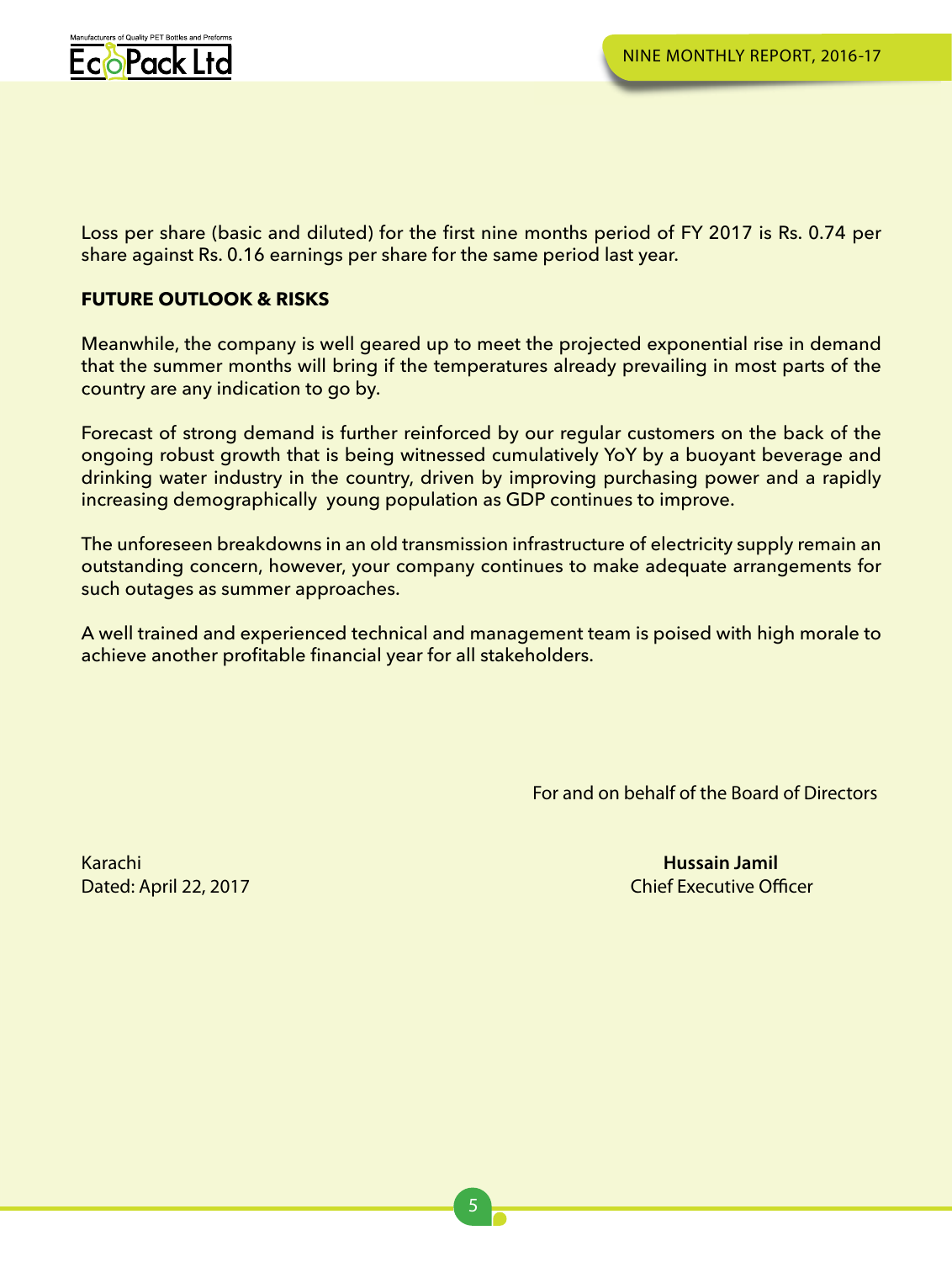

Loss per share (basic and diluted) for the first nine months period of FY 2017 is Rs. 0.74 per share against Rs. 0.16 earnings per share for the same period last year.

## **FUTURE OUTLOOK & RISKS**

Meanwhile, the company is well geared up to meet the projected exponential rise in demand that the summer months will bring if the temperatures already prevailing in most parts of the country are any indication to go by.

Forecast of strong demand is further reinforced by our regular customers on the back of the ongoing robust growth that is being witnessed cumulatively YoY by a buoyant beverage and drinking water industry in the country, driven by improving purchasing power and a rapidly increasing demographically young population as GDP continues to improve.

The unforeseen breakdowns in an old transmission infrastructure of electricity supply remain an outstanding concern, however, your company continues to make adequate arrangements for such outages as summer approaches.

A well trained and experienced technical and management team is poised with high morale to achieve another profitable financial year for all stakeholders.

For and on behalf of the Board of Directors

Karachi

**Hussain Jamil Dated: April 22, 2017** Chief Executive Officer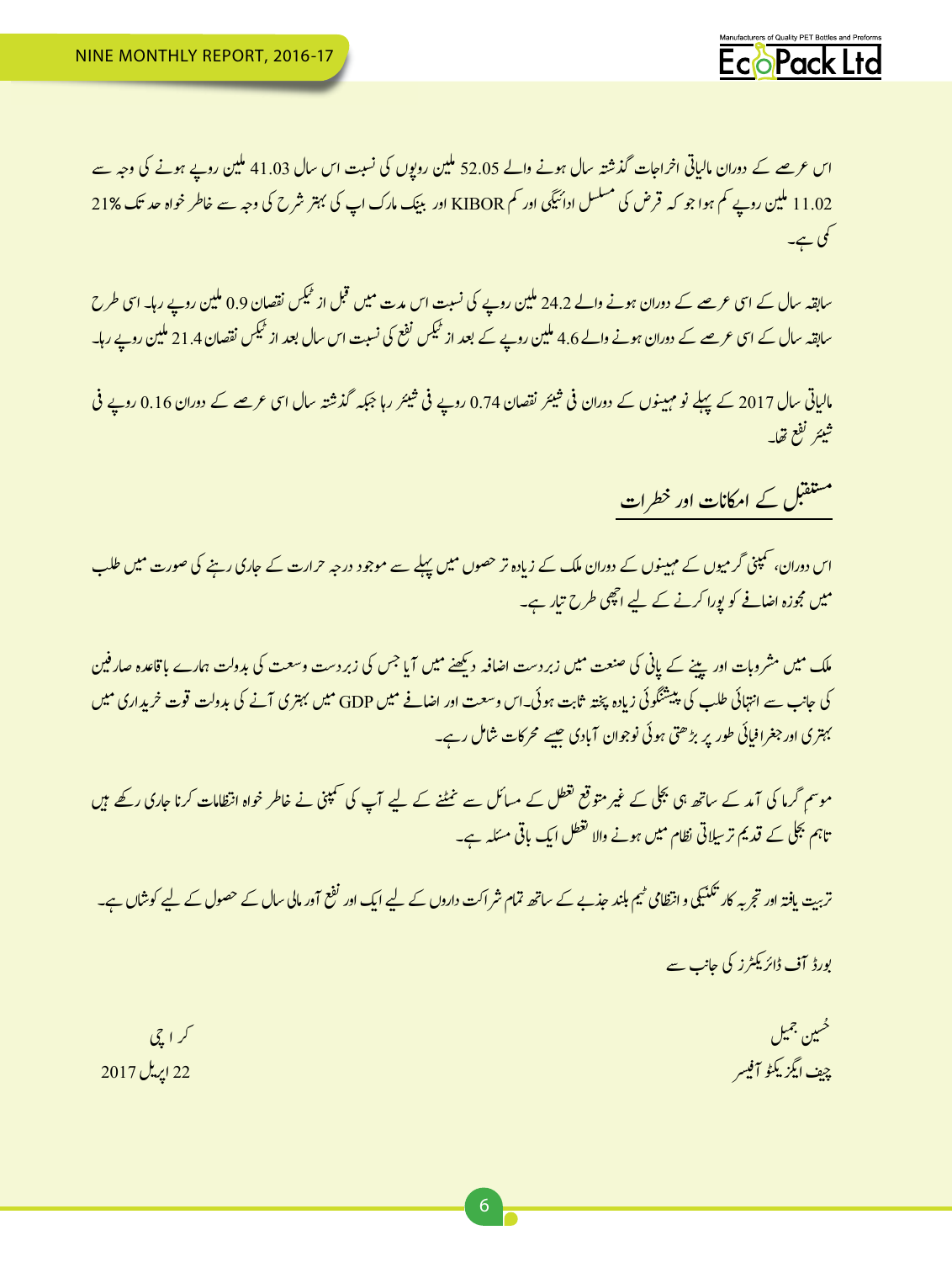

اس عرصے کے دوران مالیاتی اخراجات گذشتہ سال ہونے والے 52.05 ملین روپوں کی نسبت اس سال 41.03 ملین روپے ہونے کی وجہ سے 11.02 ملین روپے کم ہوا جو کہ قرض کی مسلسل ادائیگی اور کم KIBOR اور بینک مارک اپ کی بہتر شرح کی وجہ سے خاطر خواہ حد تک 21% ئ یمک ےہ۔

سابقہ سال کے اسی عرصے کے دوران ہونے والے 24.2 ملین روپے کی نسبت اس مدت میں قبل از کمیکس نقصان 0.9 ملین روپے رہا۔ اسی طرح ٹ سابقہ سال کے اسی عرصے کے دوران ہونے والے 4.6 ملین روپے کے بعد از ٹیکس نفع کی نسبت اس سال بعد از ٹیکس نقصان 21.4 ملین روپے رہا۔ ٹ ٹ

ئمالیاتی سال 2017 کے پہلے نو مہینوں کے دوران فی شیئر نقصان 0.74 روپے فی شیئر رہا جبکہ گذشتہ سال اسی عرصے کے دوران 0.16 روپے فی ی ش ئی ش ی� ئتيئر لفع تھا۔ ی ش

مستقبل کے امکانات اور خطرات

ناس دوران، کمپنی گرمیوں کے مہینوں کے دوران ملک کے زیادہ تر حصوں میں پہلے سے موجود درجہ حرارت کے جاری رہنے کی صورت میں طلب ی� میں مجوزہ اضافے کو پورا کرنے کے لیے اچھی طرح تیار ہے۔ ت

.<br>ار فین نملک میں مشروبات اور پینے کے پانی کی صنعت میں زبردست اضافہ دیکھنے میں آیا جس کی زبردست وسعت کی بدولت ہمارے باقاعدہ صار فین کی جانب سے انتہائی طلب کی پیشٹگوئی زیادہ پختہ ثابت ہوئی۔اس وسعت اور اضافے میں GDP میں بہتری آنے کی بدولت قوت خریداری میں ن ش ئی طور پر بڑھتی ہوئی نوجوان آبادی جیسے محرکات شامل رہے۔ ف بہتری اور جغرافیا

ر متوقع لقطل کے مسائل سے نمٹنے کے لیے آپ کی سمپنی نے خاطر خواہ انتظامات کرنا جاری رکھے ہیں غ موسمِ کرما کی آمد کے ساتھ ہی بلجلی کے غیر تاہم بجلی کے قدیم تر سِلاتی نظام میں ہونے والا تغطل ایک باقی مسَلہ ہے۔

تربیت یافتہ اور تجربہ کار تکنیکی و انتظامی <sup>می</sup>یم بلند حذبے کے ساتھ تمام شراکت داروں کے لیے ایک اور <sup>افع</sup> آور مالی سال کے حصول کے لیے کوشاں ہے۔ ن ت ت

> بورڈ آف ڈائر یکٹرز کی جانب سے ی

ن مجیل است.<br>این جمیل است که باشد و با این است که باشد و با این است که با این است که با این است که با این است که با این است<br>است که با این است که با این است که با این است که با این است که با این است که با این است که با این حُسین جمیل ی زيڭۇ آفيىر چیف ایگزینگو آفیسر است.<br>این است که از این است که از این است که از این است که از این است که از این است که از این است که این است که این ا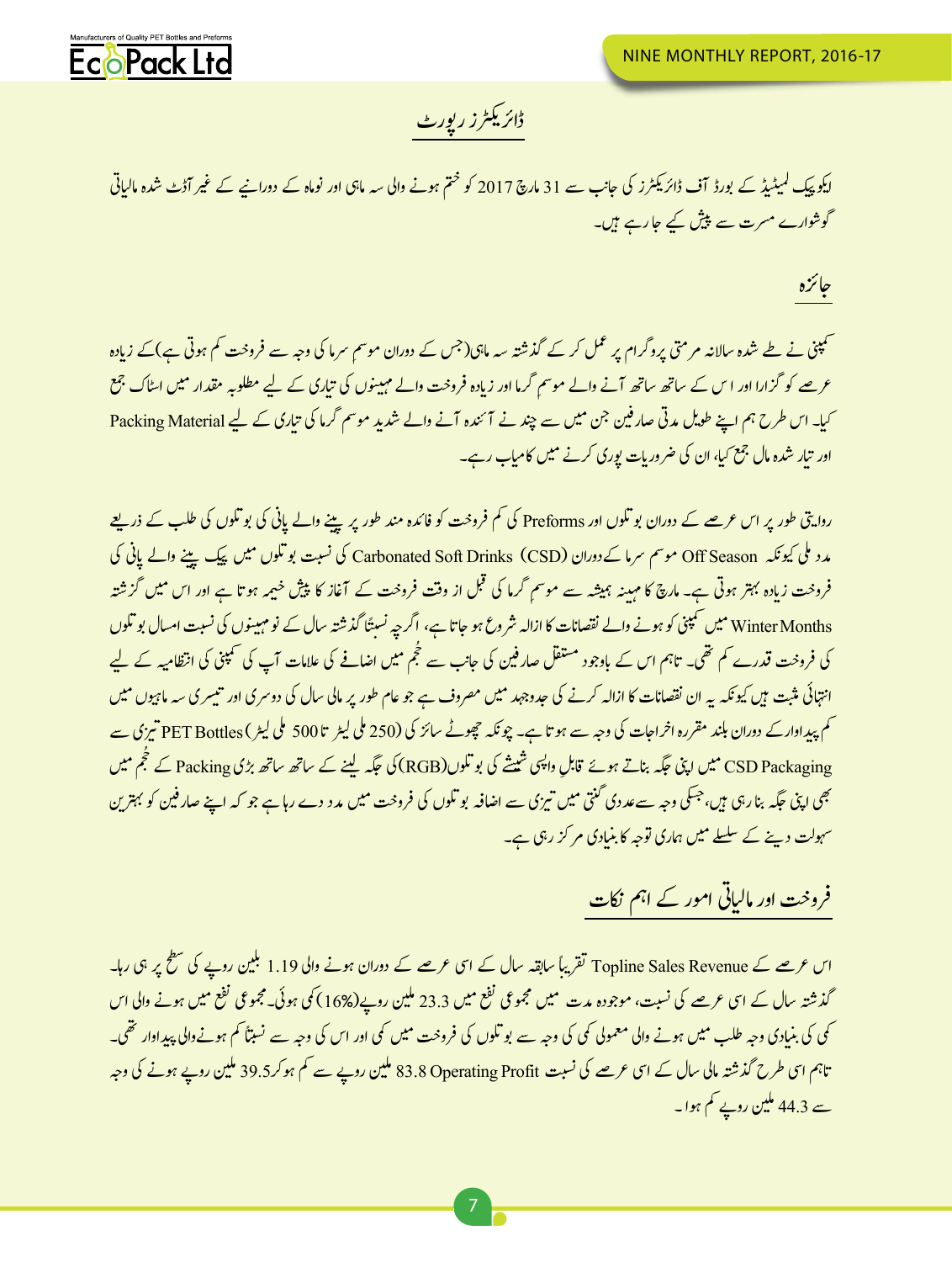

### ڈائریکٹرز رپورٹ ی

ر آڈٹ شدہ مالیاتی ر<br>ایکو پیک کمیٹیڈ کے بورڈ آف ڈائر یکٹرز کی جانب سے 31 مارچ 2017 کو ختم ہونے والی سہ ماہی اور نوماہ کے دورانیے کے غیر ل شگوشوارے مسرت سے پیش کیے جا رہے ہیں۔ پ

اجزئہ

<u>کمپنی نے طے شدہ سالانہ مرمتی یروگرام یر عمل کر کے گذشتہ سہ ماہی(جس کے دوران موسم سرما کی وجہ سے فروخت کم ہوتی ہے)کے زيادہ</u> ے کے کو گزارا اور اس کے ساتھ ساتھ آنے والے موسم گرما اور زیادہ فروخت والے مہینوں کی تیاری کے لیے مطلوبہ مقدار میں ایٹاک جمع<br>عرصے کو گزارا اور اس کے ساتھ ساتھ آنے والے موسم گرما اور زیادہ فروخت والے مہینوں کی تیاری کے لیے ت ی� لیا۔ اس طرح ہم اپنے طویل مدتی صار فین جن میں سے چند نے آئندہ آنے والے شدید موسم گرما کی تیاری کے لیے Packing Material ت اور تیار شدہ مال جمع <sub>کیا</sub>، ان کی ضروریات پوری کرنے میں کامیاب رہے۔ ت

نروایتی طور پر اس عرصے کے دوران بو تکوں اور Preforms کی کم فروخت کو فائدہ مند طور پر پینے والے پانی کی بو تکوں کی طلب کے ذریعے .<br>مدد ملی کیونکہ Off Season موسم سرما کے دوران (Carbonated Soft Drinks (CSD کی نسبت بو تکوں میں پیک پینے والے پانی ک یند ک ماینسٹر معندہ کی مسیر ہا اگر سے مشتر کی رکھتا ہے۔ اس میں سے اس میں ہوتا ہے اور اس میں گزشتہ<br>فروخت زیادہ بہتر ہوتی ہے۔ مارچ کا مہینہ ہمیشہ سے موسم گرما کی قبل از وقت فروخت کے آغاز کا پیش خیمہ ہوتا ہے اور اس میں گزشتہ ش...<br>Winter Months میں شمپنی کو ہونے والے نقصانات کا ازالہ شروع ہو جاتا ہے، اگرچہ نسبتًا گذشتہ سال کے نوم ہیںوں کی نسبت امسال بوتلوں<br>Winter Months ی� ت ن � کی فروخت قدرے کم تھی۔ تاہم اس کے باوجود مستقل صار فین کی جانب سے حجّٰم میں اضافے کی علامات آپ کی کمپنی کی انتظامیہ کے لیے ُ انتہائی مثبت ہیں کیونکہ یہ ان نقصانات کا ازالہ کرنے کی جدوجہد میں مصروف ہے جو عام طور پر مالی سال کی دوسری اور تنبسری سہ ماہیوں میں ت ہکم پیداوار کے دوران بلند مقررہ اخراجات کی وجہ سے ہو تا ہے۔ چونکہ چھوٹے سائز کی (250 ملی لیٹر ) DET Bottles تیزی سے ا ی ت ہیں کہ اسپتال کے ساتھ رہا ہے۔<br>CSD Packaging یہ میں اپنی جگہ بناتے ہوئے قابلِ واپسی شیشے کی بو تکوں(RGB) کی جگہ لینے کے ساتھ ساتھ بڑی Packing کے تجم میں **∴and** ش ن المسلمان المسلمان المسلمان المسلمان المسلمان المسلمان المسلمان المسلمان المسلمان المسلمان المسلمان المسلمان<br>المسلمان المسلمان المسلمان المسلمان المسلمان المسلمان المسلمان المسلمان المسلمان المسلمان المسلمان المسلمان ال بھی اپنی جگہ بنا رہی ہیں، جسکی وجہ سےعددی گنتی میں تیزی سے اضافہ بو تکوں کی فروخت میں مدد دے رہا ہے جو کہ اپنے صارفین کو بہترین یی ت ہسہولت دینے کے سلسلے میں ہماری توجہ کا بنیادی مر کز رہی ہے۔ ن

## فروخت اور مالیاتی امور کے اہم نکات

اس عرصے کے Topline Sales Revenue تقریباً سابقہ سال کے اسی عرصے کے دوران ہونے والی 1.19 بلین روپے کی سطح پر ہی رہا۔ گذشتہ سال کے اسی عرصے کی نسبت، موجودہ مدت میں مجموعی نفع میں 23.3 ملین روپے(16%) کی ہوئی۔مجموعی نفع میں ہونے والی اس یکی کی بنیادی وجہ طلب میں ہونے والی معمولی کمی کی وجہ سے بو تکوں کی فروخت میں کی اور اس کی وجہ سے نستاً کم ہونےوالی پیداوار تھی۔ تاہم اسی طرح گذشتہ مالی سال کے اسی عرصے کی نسبت 83.8 Operating Profit ملین روپے سے کم ہوکر39.5 ملین روپے ہونے کی وجہ سے 44.3 ملین روپے کم ہوا ۔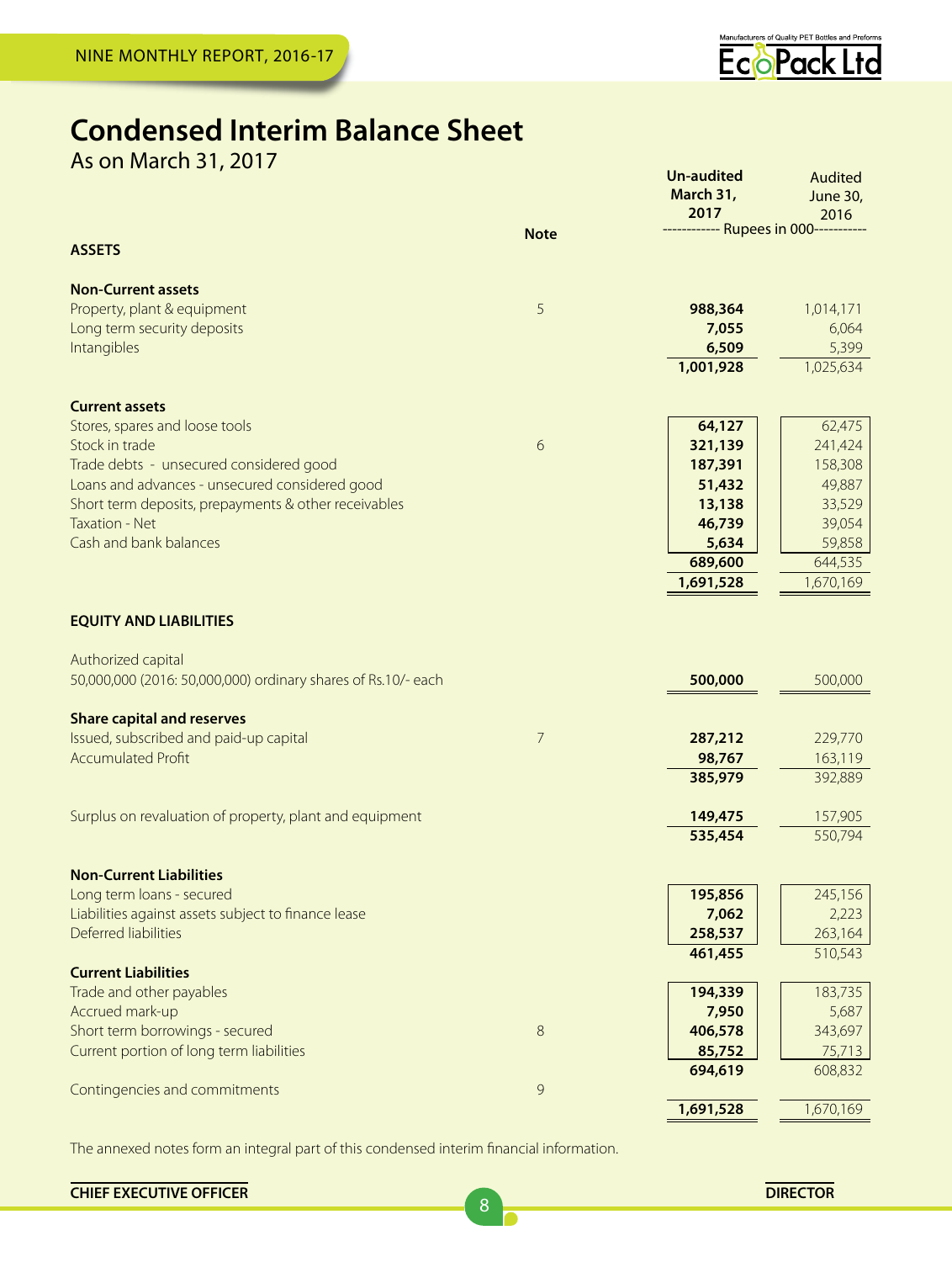

Audited

**Un-audited** 

## **Condensed Interim Balance Sheet**

As on March 31, 2017

|                                                               |             | March 31,<br>2017<br>------------ Rupees in 000----- | June 30,<br>2016  |
|---------------------------------------------------------------|-------------|------------------------------------------------------|-------------------|
| <b>ASSETS</b>                                                 | <b>Note</b> |                                                      |                   |
| <b>Non-Current assets</b>                                     |             |                                                      |                   |
| Property, plant & equipment                                   | 5           | 988,364                                              | 1,014,171         |
| Long term security deposits                                   |             | 7,055                                                | 6,064             |
| Intangibles                                                   |             | 6,509                                                | 5,399             |
|                                                               |             | 1,001,928                                            | 1,025,634         |
| <b>Current assets</b>                                         |             |                                                      |                   |
| Stores, spares and loose tools                                |             | 64,127                                               | 62,475            |
| Stock in trade                                                | 6           | 321,139                                              | 241,424           |
| Trade debts - unsecured considered good                       |             | 187,391                                              | 158,308           |
| Loans and advances - unsecured considered good                |             | 51,432                                               | 49,887            |
| Short term deposits, prepayments & other receivables          |             | 13,138                                               | 33,529            |
| <b>Taxation - Net</b><br>Cash and bank balances               |             | 46,739<br>5,634                                      | 39,054            |
|                                                               |             | 689,600                                              | 59,858<br>644,535 |
|                                                               |             | 1,691,528                                            | 1,670,169         |
| <b>EQUITY AND LIABILITIES</b>                                 |             |                                                      |                   |
| Authorized capital                                            |             |                                                      | 500,000           |
| 50,000,000 (2016: 50,000,000) ordinary shares of Rs.10/- each |             | 500,000                                              |                   |
| <b>Share capital and reserves</b>                             |             |                                                      |                   |
| Issued, subscribed and paid-up capital                        | 7           | 287,212                                              | 229,770           |
| <b>Accumulated Profit</b>                                     |             | 98,767                                               | 163,119           |
|                                                               |             | 385,979                                              | 392,889           |
| Surplus on revaluation of property, plant and equipment       |             | 149,475                                              | 157,905           |
|                                                               |             | 535,454                                              | 550,794           |
| <b>Non-Current Liabilities</b>                                |             |                                                      |                   |
| Long term loans - secured                                     |             | 195,856                                              | 245,156           |
| Liabilities against assets subject to finance lease           |             | 7,062                                                | 2,223             |
| Deferred liabilities                                          |             | 258,537                                              | 263,164           |
| <b>Current Liabilities</b>                                    |             | 461,455                                              | 510,543           |
| Trade and other payables                                      |             | 194,339                                              | 183,735           |
| Accrued mark-up                                               |             | 7,950                                                | 5,687             |
| Short term borrowings - secured                               | 8           | 406,578                                              | 343,697           |
| Current portion of long term liabilities                      |             | 85,752                                               | 75,713            |
|                                                               | 9           | 694,619                                              | 608,832           |
| Contingencies and commitments                                 |             | 1,691,528                                            | 1,670,169         |
|                                                               |             |                                                      |                   |

The annexed notes form an integral part of this condensed interim financial information.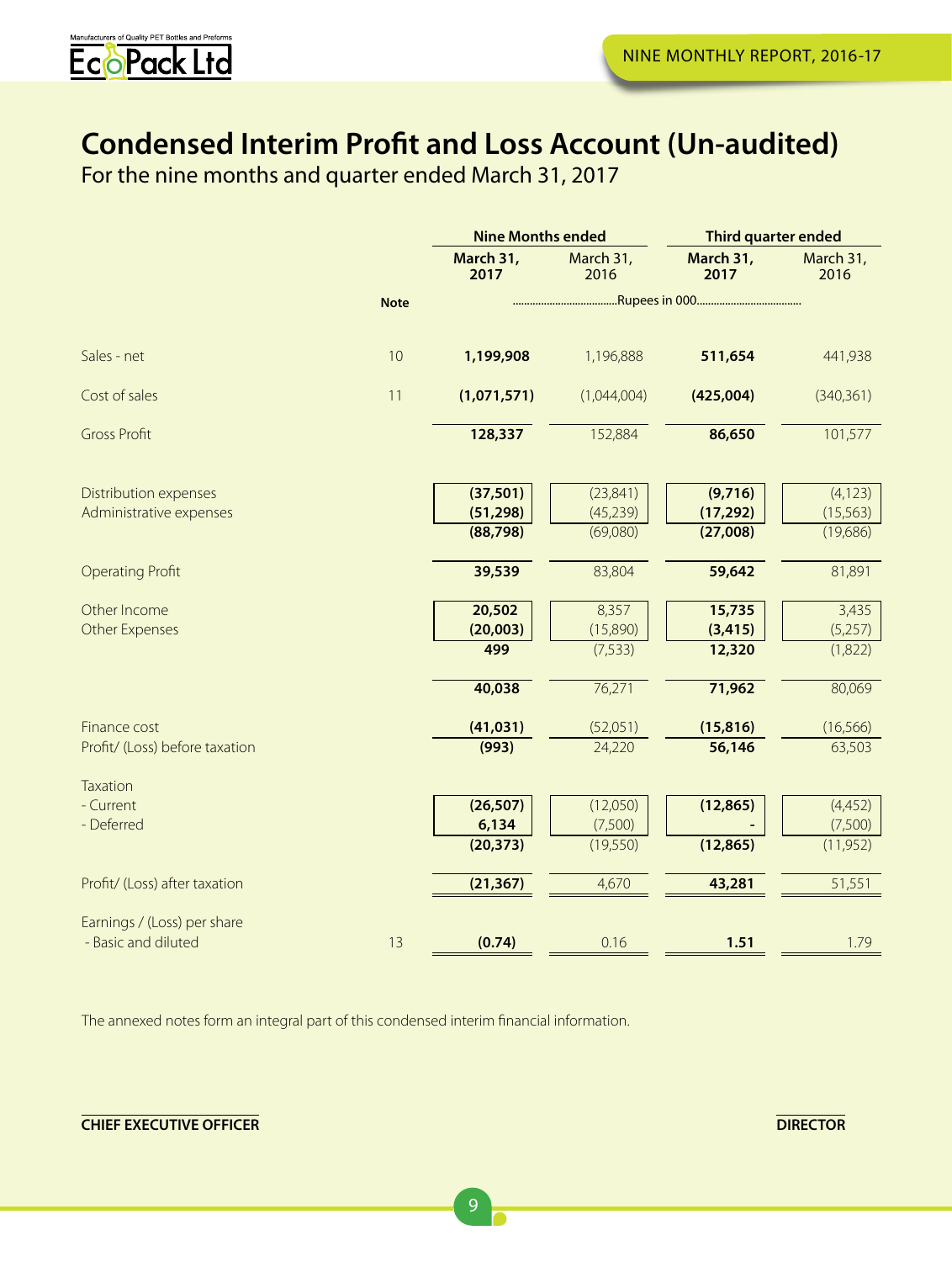

## **Condensed Interim Profit and Loss Account (Un-audited)**

For the nine months and quarter ended March 31, 2017

|                                |             | <b>Nine Months ended</b> |                       | <b>Third quarter ended</b> |                       |  |  |
|--------------------------------|-------------|--------------------------|-----------------------|----------------------------|-----------------------|--|--|
|                                |             | March 31,<br>2017        | March 31,<br>2016     | March 31,<br>2017          | March 31,<br>2016     |  |  |
|                                | <b>Note</b> |                          |                       |                            |                       |  |  |
| Sales - net                    | 10          | 1,199,908                | 1,196,888             | 511,654                    | 441,938               |  |  |
| Cost of sales                  | 11          | (1,071,571)              | (1,044,004)           | (425,004)                  | (340, 361)            |  |  |
| <b>Gross Profit</b>            |             | 128,337                  | 152,884               | 86,650                     | 101,577               |  |  |
| Distribution expenses          |             | (37, 501)                | (23, 841)             | (9,716)                    | (4, 123)              |  |  |
| Administrative expenses        |             | (51, 298)<br>(88,798)    | (45, 239)<br>(69,080) | (17, 292)<br>(27,008)      | (15, 563)<br>(19,686) |  |  |
| <b>Operating Profit</b>        |             | 39,539                   | 83,804                | 59,642                     | 81,891                |  |  |
| Other Income                   |             | 20,502                   | 8,357                 | 15,735                     | 3,435                 |  |  |
| Other Expenses                 |             | (20,003)<br>499          | (15,890)<br>(7, 533)  | (3, 415)<br>12,320         | (5,257)<br>(1,822)    |  |  |
|                                |             | 40,038                   | 76,271                | 71,962                     | 80,069                |  |  |
| Finance cost                   |             | (41, 031)                | (52,051)              | (15, 816)                  | (16, 566)             |  |  |
| Profit/ (Loss) before taxation |             | (993)                    | 24,220                | 56,146                     | 63,503                |  |  |
| <b>Taxation</b>                |             |                          |                       |                            |                       |  |  |
| - Current<br>- Deferred        |             | (26, 507)<br>6,134       | (12,050)<br>(7,500)   | (12, 865)                  | (4,452)<br>(7,500)    |  |  |
|                                |             | (20, 373)                | (19,550)              | (12, 865)                  | (11, 952)             |  |  |
| Profit/ (Loss) after taxation  |             | (21, 367)                | 4,670                 | 43,281                     | 51,551                |  |  |
| Earnings / (Loss) per share    |             |                          |                       |                            |                       |  |  |
| - Basic and diluted            | 13          | (0.74)                   | 0.16                  | 1.51                       | 1.79                  |  |  |

The annexed notes form an integral part of this condensed interim financial information.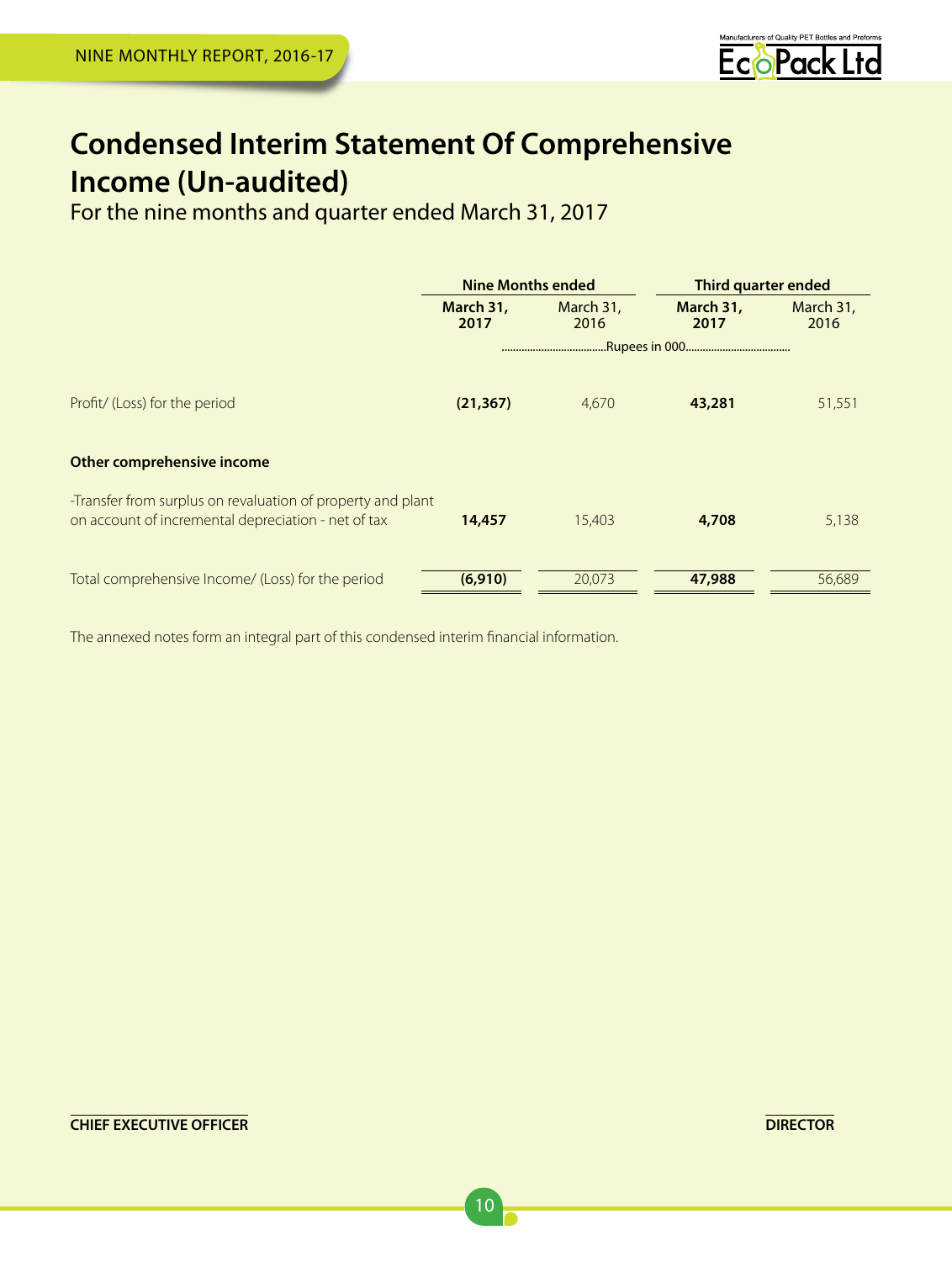

## **Condensed Interim Statement Of Comprehensive Income (Un-audited)**<br>For the nine months and quarter ended March 31, 2017

|                                                                                                                    | <b>Nine Months ended</b> |                   | Third quarter ended |                   |
|--------------------------------------------------------------------------------------------------------------------|--------------------------|-------------------|---------------------|-------------------|
|                                                                                                                    | March 31,<br>2017        | March 31,<br>2016 | March 31,<br>2017   | March 31,<br>2016 |
|                                                                                                                    |                          |                   |                     |                   |
| Profit/ (Loss) for the period                                                                                      | (21, 367)                | 4,670             | 43,281              | 51,551            |
| Other comprehensive income                                                                                         |                          |                   |                     |                   |
| -Transfer from surplus on revaluation of property and plant<br>on account of incremental depreciation - net of tax | 14,457                   | 15,403            | 4,708               | 5,138             |
| Total comprehensive Income/ (Loss) for the period                                                                  | (6,910)                  | 20.073            | 47,988              | 56.689            |

The annexed notes form an integral part of this condensed interim financial information.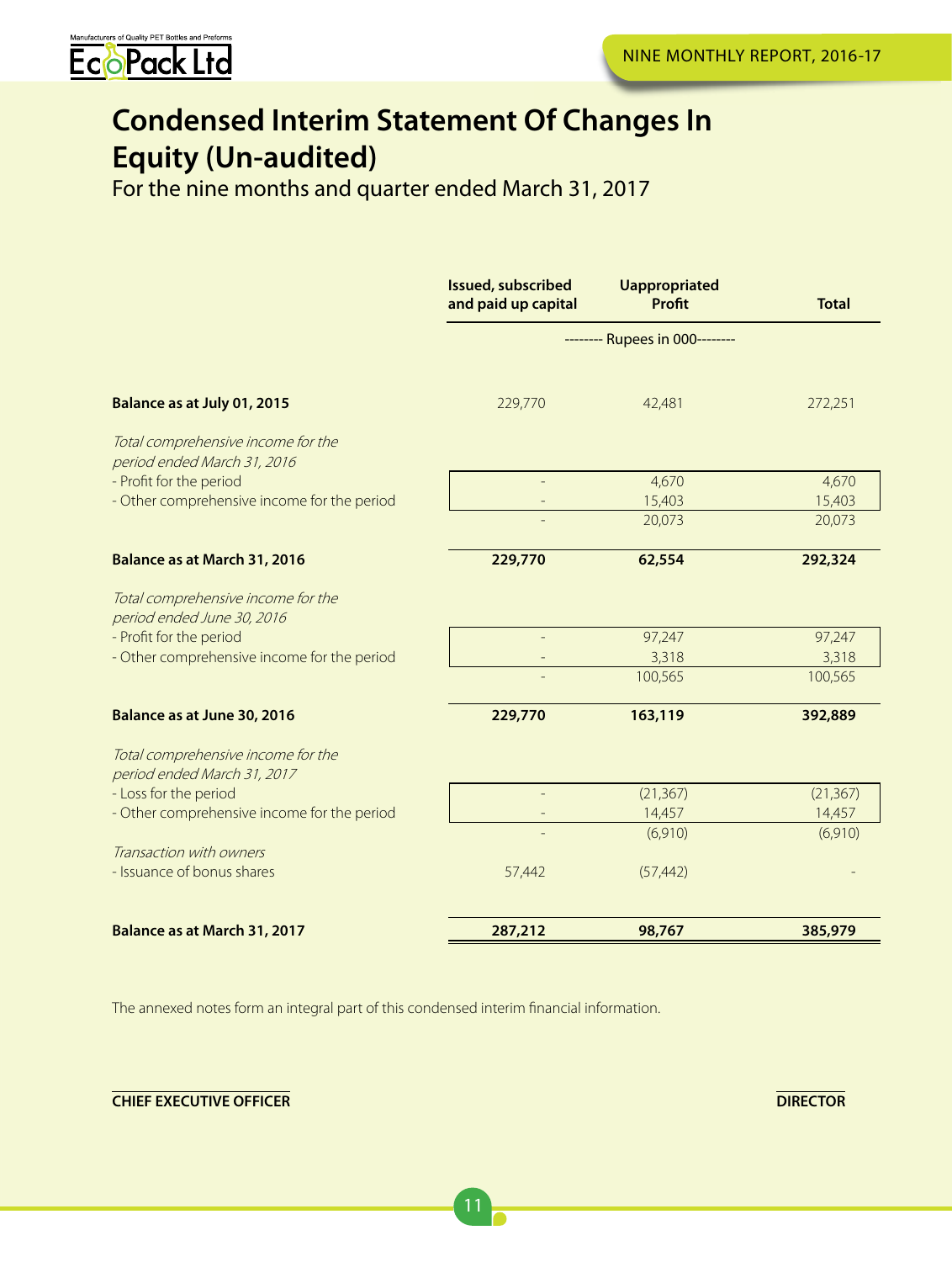

## **Condensed Interim Statement Of Changes In Equity (Un-audited)**

For the nine months and quarter ended March 31, 2017

|                                                                   | <b>Issued, subscribed</b><br>and paid up capital | <b>Uappropriated</b><br>Profit | <b>Total</b> |
|-------------------------------------------------------------------|--------------------------------------------------|--------------------------------|--------------|
|                                                                   |                                                  | -------- Rupees in 000-------- |              |
| Balance as at July 01, 2015                                       | 229,770                                          | 42,481                         | 272,251      |
| Total comprehensive income for the<br>period ended March 31, 2016 |                                                  |                                |              |
| - Profit for the period                                           |                                                  | 4,670                          | 4,670        |
| - Other comprehensive income for the period                       |                                                  | 15,403                         | 15,403       |
|                                                                   |                                                  | 20,073                         | 20,073       |
| Balance as at March 31, 2016                                      | 229,770                                          | 62,554                         | 292,324      |
| Total comprehensive income for the<br>period ended June 30, 2016  |                                                  |                                |              |
| - Profit for the period                                           |                                                  | 97,247                         | 97,247       |
| - Other comprehensive income for the period                       |                                                  | 3,318                          | 3,318        |
|                                                                   |                                                  | 100,565                        | 100,565      |
| Balance as at June 30, 2016                                       | 229,770                                          | 163,119                        | 392,889      |
| Total comprehensive income for the<br>period ended March 31, 2017 |                                                  |                                |              |
| - Loss for the period                                             |                                                  | (21, 367)                      | (21, 367)    |
| - Other comprehensive income for the period                       |                                                  | 14,457                         | 14,457       |
|                                                                   |                                                  | (6,910)                        | (6,910)      |
| Transaction with owners                                           |                                                  |                                |              |
| - Issuance of bonus shares                                        | 57,442                                           | (57, 442)                      |              |
| Balance as at March 31, 2017                                      | 287,212                                          | 98,767                         | 385,979      |

The annexed notes form an integral part of this condensed interim financial information.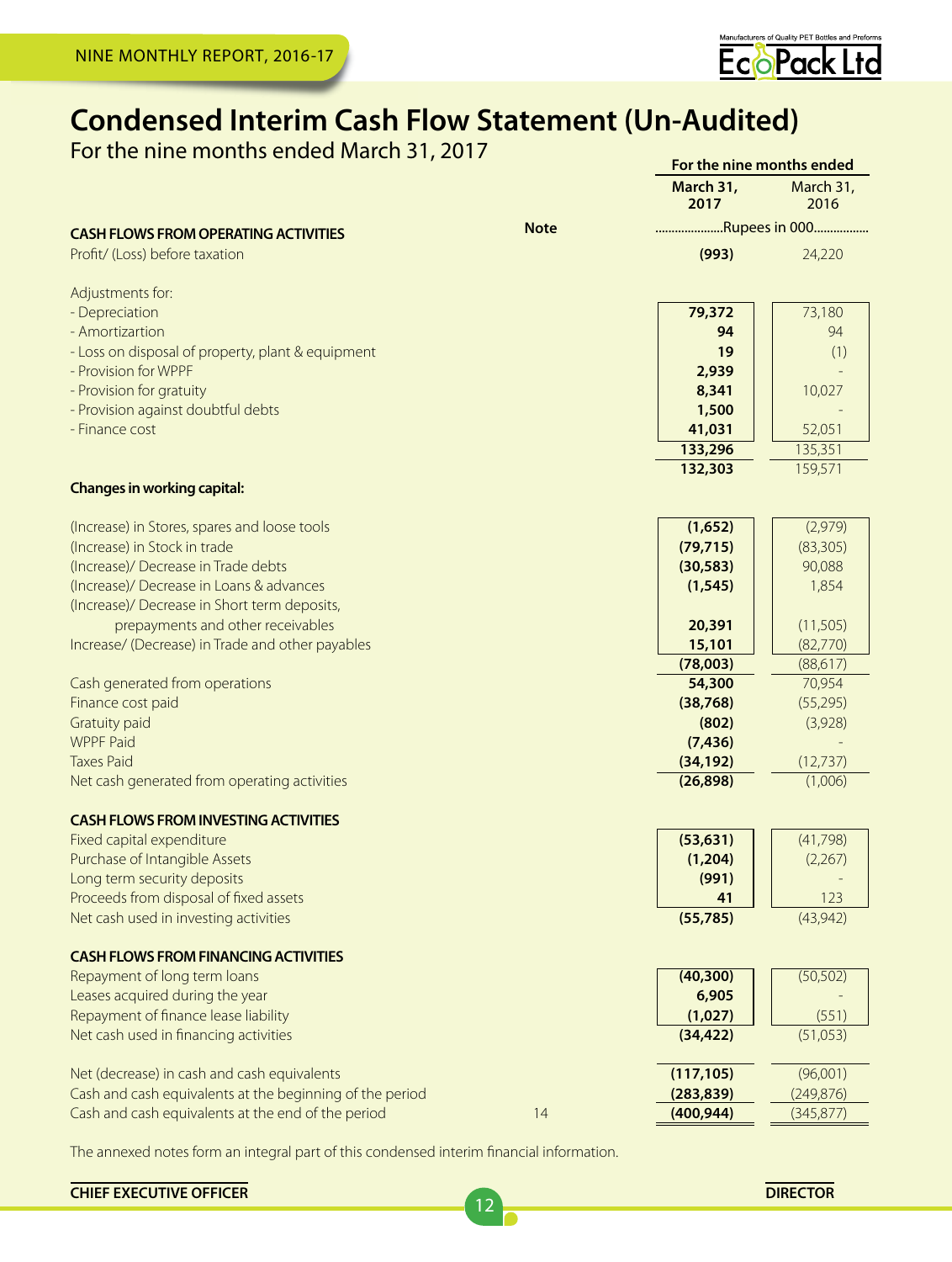

**For the nine months ended**

## **Condensed Interim Cash Flow Statement (Un-Audited)**

For the nine months ended March 31, 2017

|                                                                      |             | March 31,<br>2017  | March 31,<br>2016  |
|----------------------------------------------------------------------|-------------|--------------------|--------------------|
| <b>CASH FLOWS FROM OPERATING ACTIVITIES</b>                          | <b>Note</b> | Rupees in 000      |                    |
| Profit/ (Loss) before taxation                                       |             | (993)              | 24,220             |
| Adjustments for:                                                     |             |                    |                    |
| - Depreciation                                                       |             | 79,372             | 73,180             |
| - Amortizartion<br>- Loss on disposal of property, plant & equipment |             | 94<br>19           | 94<br>(1)          |
| - Provision for WPPF                                                 |             | 2,939              |                    |
| - Provision for gratuity                                             |             | 8,341              | 10,027             |
| - Provision against doubtful debts                                   |             | 1,500              |                    |
| - Finance cost                                                       |             | 41,031             | 52,051             |
|                                                                      |             | 133,296            | 135,351            |
|                                                                      |             | 132,303            | 159,571            |
| <b>Changes in working capital:</b>                                   |             |                    |                    |
| (Increase) in Stores, spares and loose tools                         |             | (1,652)            | (2,979)            |
| (Increase) in Stock in trade                                         |             | (79, 715)          | (83, 305)          |
| (Increase)/ Decrease in Trade debts                                  |             | (30, 583)          | 90,088             |
| (Increase)/ Decrease in Loans & advances                             |             | (1, 545)           | 1,854              |
| (Increase)/ Decrease in Short term deposits,                         |             |                    |                    |
| prepayments and other receivables                                    |             | 20,391             | (11,505)           |
| Increase/ (Decrease) in Trade and other payables                     |             | 15,101             | (82,770)           |
| Cash generated from operations                                       |             | (78,003)<br>54,300 | (88,617)<br>70,954 |
| Finance cost paid                                                    |             | (38, 768)          | (55, 295)          |
| <b>Gratuity paid</b>                                                 |             | (802)              | (3,928)            |
| <b>WPPF Paid</b>                                                     |             | (7, 436)           |                    |
| <b>Taxes Paid</b>                                                    |             | (34, 192)          | (12, 737)          |
| Net cash generated from operating activities                         |             | (26, 898)          | (1,006)            |
| <b>CASH FLOWS FROM INVESTING ACTIVITIES</b>                          |             |                    |                    |
| Fixed capital expenditure                                            |             | (53, 631)          | (41,798)           |
| Purchase of Intangible Assets                                        |             | (1,204)            | (2,267)            |
| Long term security deposits                                          |             | (991)              |                    |
| Proceeds from disposal of fixed assets                               |             | 41                 | 123<br>(43, 942)   |
| Net cash used in investing activities                                |             | (55, 785)          |                    |
| <b>CASH FLOWS FROM FINANCING ACTIVITIES</b>                          |             |                    |                    |
| Repayment of long term loans                                         |             | (40, 300)          | (50, 502)          |
| Leases acquired during the year                                      |             | 6,905              |                    |
| Repayment of finance lease liability                                 |             | (1,027)            | (551)              |
| Net cash used in financing activities                                |             | (34, 422)          | (51,053)           |
| Net (decrease) in cash and cash equivalents                          |             | (117, 105)         | (96,001)           |
| Cash and cash equivalents at the beginning of the period             |             | (283, 839)         | (249, 876)         |
| Cash and cash equivalents at the end of the period                   | 14          | (400, 944)         | (345, 877)         |

12

The annexed notes form an integral part of this condensed interim financial information.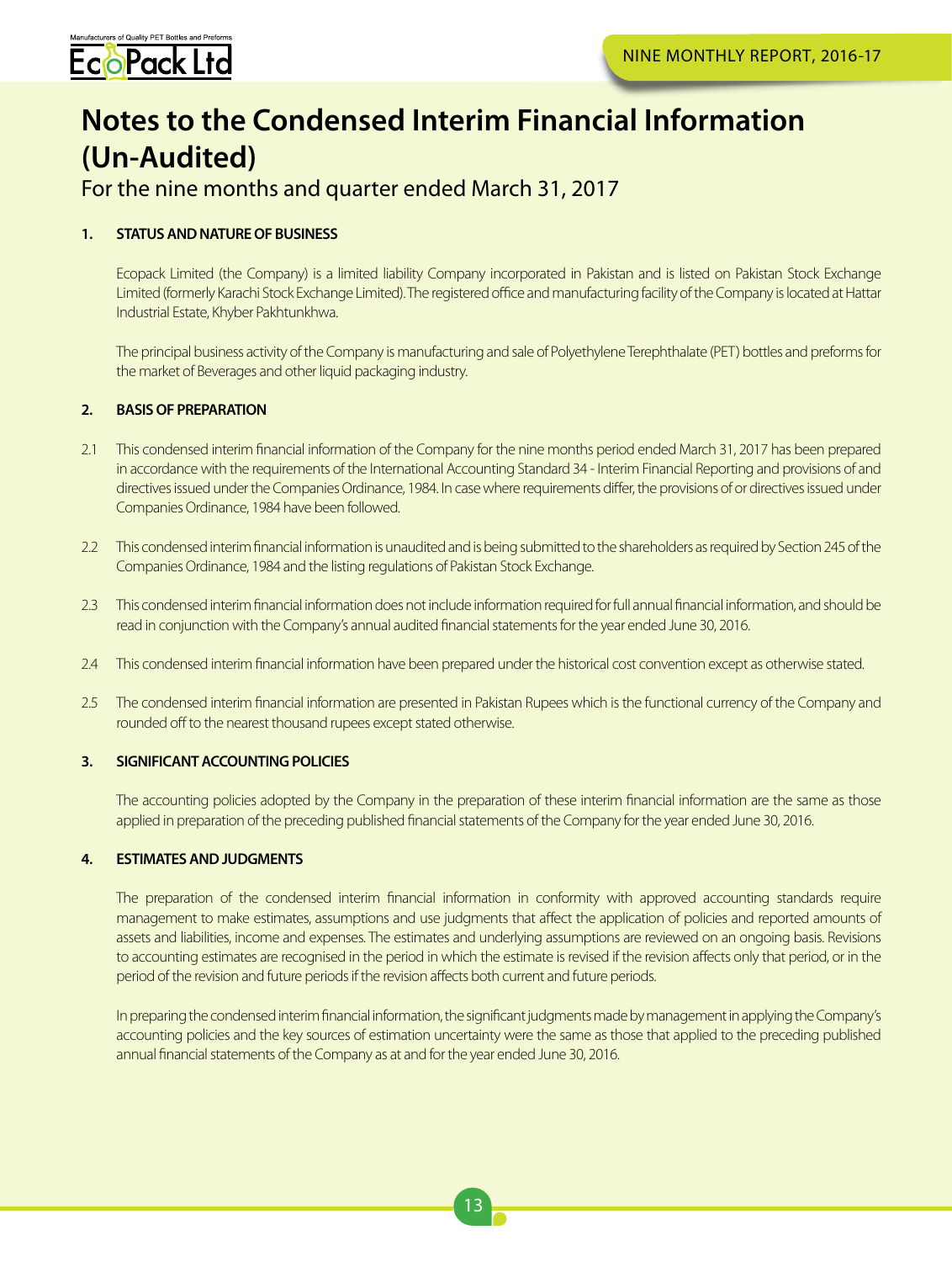

## **Notes to the Condensed Interim Financial Information (Un-Audited)**

For the nine months and quarter ended March 31, 2017

## **1. STATUS AND NATURE OF BUSINESS**

Ecopack Limited (the Company) is a limited liability Company incorporated in Pakistan and is listed on Pakistan Stock Exchange Limited (formerly Karachi Stock Exchange Limited). The registered office and manufacturing facility of the Company is located at Hattar Industrial Estate, Khyber Pakhtunkhwa.

The principal business activity of the Company is manufacturing and sale of Polyethylene Terephthalate (PET) bottles and preforms for the market of Beverages and other liquid packaging industry.

## **2. BASIS OF PREPARATION**

- 2.1 This condensed interim financial information of the Company for the nine months period ended March 31, 2017 has been prepared in accordance with the requirements of the International Accounting Standard 34 - Interim Financial Reporting and provisions of and directives issued under the Companies Ordinance, 1984. In case where requirements differ, the provisions of or directives issued under Companies Ordinance, 1984 have been followed.
- 2.2 This condensed interim financial information is unaudited and is being submitted to the shareholders as required by Section 245 of the Companies Ordinance, 1984 and the listing regulations of Pakistan Stock Exchange.
- 2.3 This condensed interim financial information does not include information required for full annual financial information, and should be read in conjunction with the Company's annual audited financial statements for the year ended June 30, 2016.
- 2.4 This condensed interim financial information have been prepared under the historical cost convention except as otherwise stated.
- 2.5 The condensed interim financial information are presented in Pakistan Rupees which is the functional currency of the Company and rounded off to the nearest thousand rupees except stated otherwise.

## **3. SIGNIFICANT ACCOUNTING POLICIES**

The accounting policies adopted by the Company in the preparation of these interim financial information are the same as those applied in preparation of the preceding published financial statements of the Company for the year ended June 30, 2016.

## **4. ESTIMATES AND JUDGMENTS**

The preparation of the condensed interim financial information in conformity with approved accounting standards require management to make estimates, assumptions and use judgments that affect the application of policies and reported amounts of assets and liabilities, income and expenses. The estimates and underlying assumptions are reviewed on an ongoing basis. Revisions to accounting estimates are recognised in the period in which the estimate is revised if the revision affects only that period, or in the period of the revision and future periods if the revision affects both current and future periods.

In preparing the condensed interim financial information, the significant judgments made by management in applying the Company's accounting policies and the key sources of estimation uncertainty were the same as those that applied to the preceding published annual financial statements of the Company as at and for the year ended June 30, 2016.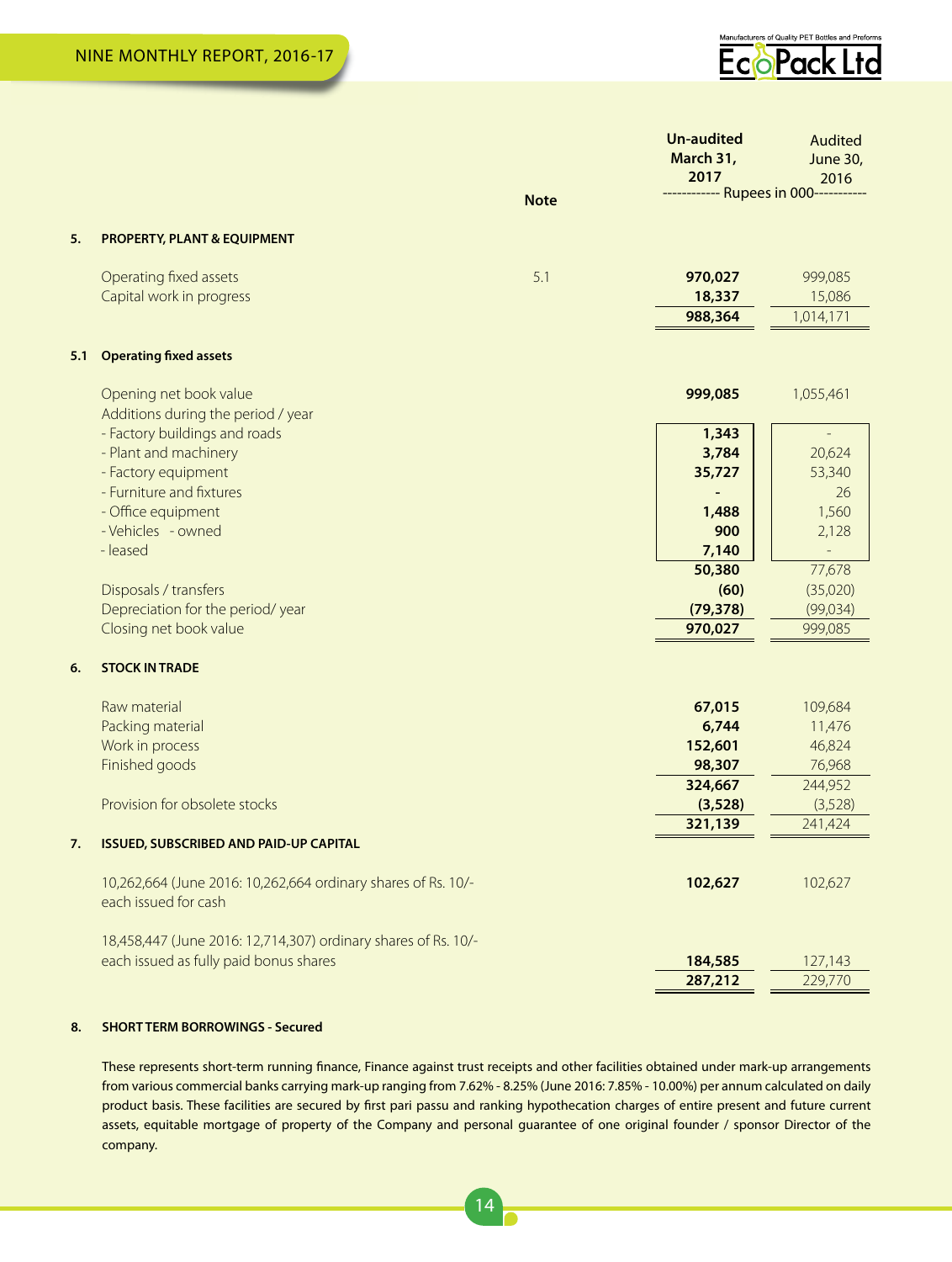

|     |                                                                                                          |             | <b>Un-audited</b><br>March 31,<br>2017 | <b>Audited</b><br><b>June 30,</b><br>2016 |
|-----|----------------------------------------------------------------------------------------------------------|-------------|----------------------------------------|-------------------------------------------|
|     |                                                                                                          | <b>Note</b> | ------------ Rupees in 000-----------  |                                           |
| 5.  | <b>PROPERTY, PLANT &amp; EQUIPMENT</b>                                                                   |             |                                        |                                           |
|     | Operating fixed assets                                                                                   | 5.1         | 970,027                                | 999,085                                   |
|     | Capital work in progress                                                                                 |             | 18,337                                 | 15,086                                    |
|     |                                                                                                          |             | 988,364                                | 1,014,171                                 |
| 5.1 | <b>Operating fixed assets</b>                                                                            |             |                                        |                                           |
|     | Opening net book value                                                                                   |             | 999,085                                | 1,055,461                                 |
|     | Additions during the period / year                                                                       |             |                                        |                                           |
|     | - Factory buildings and roads                                                                            |             | 1,343                                  |                                           |
|     | - Plant and machinery                                                                                    |             | 3,784                                  | 20,624                                    |
|     | - Factory equipment                                                                                      |             | 35,727                                 | 53,340                                    |
|     | - Furniture and fixtures                                                                                 |             |                                        | 26                                        |
|     | - Office equipment                                                                                       |             | 1,488                                  | 1,560                                     |
|     | - Vehicles - owned                                                                                       |             | 900                                    | 2,128                                     |
|     | - leased                                                                                                 |             | 7,140                                  | $\overline{\phantom{m}}$                  |
|     |                                                                                                          |             | 50,380                                 | 77,678                                    |
|     | Disposals / transfers                                                                                    |             | (60)                                   | (35,020)                                  |
|     | Depreciation for the period/year                                                                         |             | (79, 378)                              | (99,034)                                  |
|     | Closing net book value                                                                                   |             | 970,027                                | 999,085                                   |
| 6.  | <b>STOCK IN TRADE</b>                                                                                    |             |                                        |                                           |
|     | Raw material                                                                                             |             | 67,015                                 | 109,684                                   |
|     | Packing material                                                                                         |             | 6,744                                  | 11,476                                    |
|     | Work in process                                                                                          |             | 152,601                                | 46,824                                    |
|     | Finished goods                                                                                           |             | 98,307                                 | 76,968                                    |
|     |                                                                                                          |             | 324,667                                | 244,952                                   |
|     | Provision for obsolete stocks                                                                            |             | (3,528)                                | (3,528)                                   |
|     |                                                                                                          |             | 321,139                                | 241,424                                   |
| 7.  | <b>ISSUED, SUBSCRIBED AND PAID-UP CAPITAL</b>                                                            |             |                                        |                                           |
|     | 10,262,664 (June 2016: 10,262,664 ordinary shares of Rs. 10/-<br>each issued for cash                    |             | 102,627                                | 102,627                                   |
|     | 18,458,447 (June 2016: 12,714,307) ordinary shares of Rs. 10/-<br>each issued as fully paid bonus shares |             |                                        |                                           |
|     |                                                                                                          |             | 184,585<br>287,212                     | 127,143<br>229,770                        |
|     |                                                                                                          |             |                                        |                                           |

### **8. SHORT TERM BORROWINGS - Secured**

These represents short-term running finance, Finance against trust receipts and other facilities obtained under mark-up arrangements from various commercial banks carrying mark-up ranging from 7.62% - 8.25% (June 2016: 7.85% - 10.00%) per annum calculated on daily product basis. These facilities are secured by first pari passu and ranking hypothecation charges of entire present and future current assets, equitable mortgage of property of the Company and personal guarantee of one original founder / sponsor Director of the company.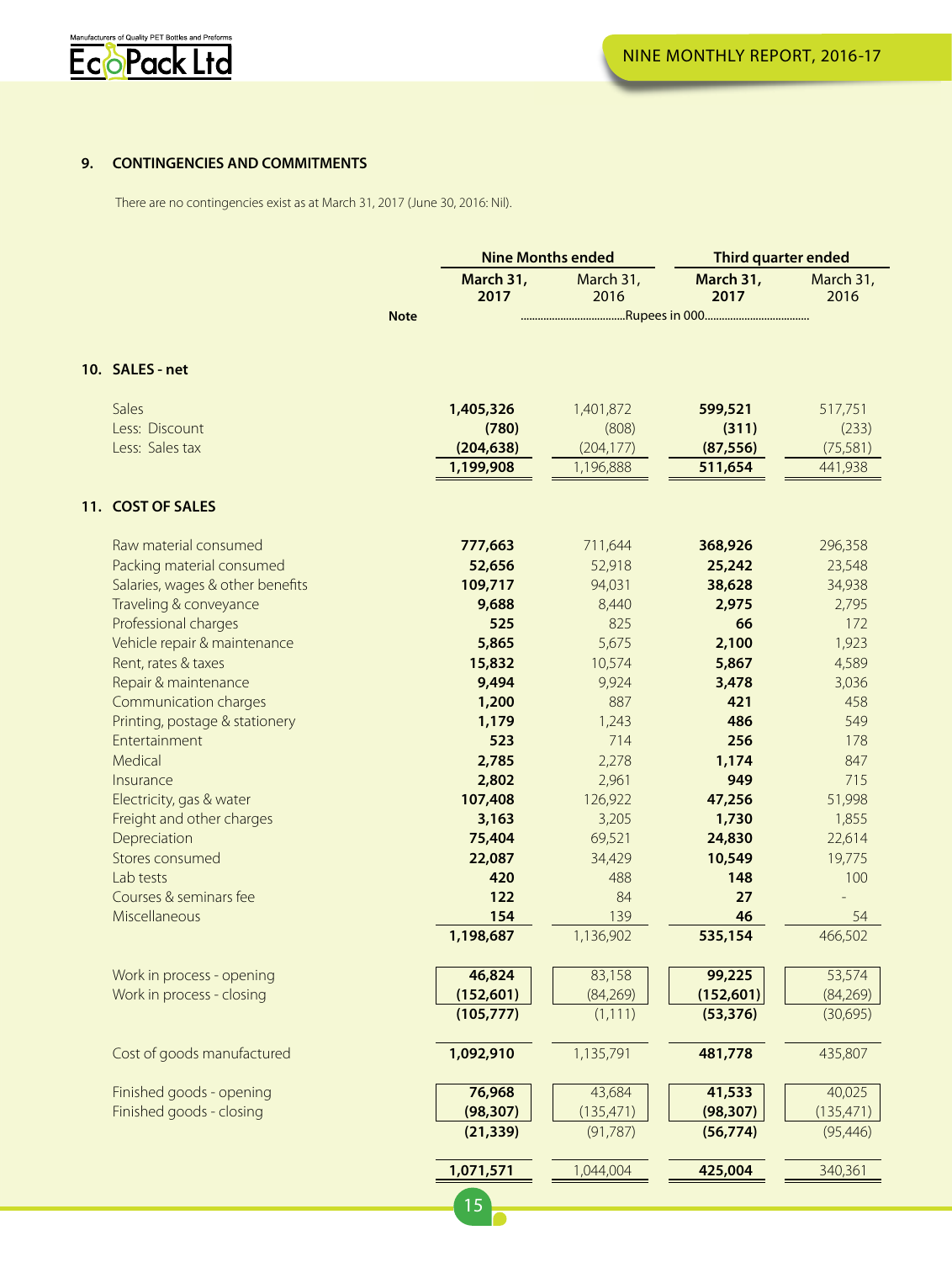

### **9. CONTINGENCIES AND COMMITMENTS**

There are no contingencies exist as at March 31, 2017 (June 30, 2016: Nil).

|                            |                                                                                                                                                                                                                                                                                                                                                                                                                                                                                                                                                                                                                      | March 31,<br>2017 | March 31,<br>2016                                                                                                                                                                                                                            | March 31,<br>2017                                                                                                                                                                                                                                                    | March 31,<br>2016                                                                                                                                                                                                                                           |
|----------------------------|----------------------------------------------------------------------------------------------------------------------------------------------------------------------------------------------------------------------------------------------------------------------------------------------------------------------------------------------------------------------------------------------------------------------------------------------------------------------------------------------------------------------------------------------------------------------------------------------------------------------|-------------------|----------------------------------------------------------------------------------------------------------------------------------------------------------------------------------------------------------------------------------------------|----------------------------------------------------------------------------------------------------------------------------------------------------------------------------------------------------------------------------------------------------------------------|-------------------------------------------------------------------------------------------------------------------------------------------------------------------------------------------------------------------------------------------------------------|
|                            | <b>Note</b>                                                                                                                                                                                                                                                                                                                                                                                                                                                                                                                                                                                                          |                   |                                                                                                                                                                                                                                              |                                                                                                                                                                                                                                                                      |                                                                                                                                                                                                                                                             |
|                            |                                                                                                                                                                                                                                                                                                                                                                                                                                                                                                                                                                                                                      |                   |                                                                                                                                                                                                                                              |                                                                                                                                                                                                                                                                      |                                                                                                                                                                                                                                                             |
|                            |                                                                                                                                                                                                                                                                                                                                                                                                                                                                                                                                                                                                                      |                   |                                                                                                                                                                                                                                              |                                                                                                                                                                                                                                                                      |                                                                                                                                                                                                                                                             |
| Sales                      |                                                                                                                                                                                                                                                                                                                                                                                                                                                                                                                                                                                                                      | 1,405,326         | 1,401,872                                                                                                                                                                                                                                    | 599,521                                                                                                                                                                                                                                                              | 517,751                                                                                                                                                                                                                                                     |
| Less: Discount             |                                                                                                                                                                                                                                                                                                                                                                                                                                                                                                                                                                                                                      | (780)             | (808)                                                                                                                                                                                                                                        | (311)                                                                                                                                                                                                                                                                | (233)                                                                                                                                                                                                                                                       |
| Less: Sales tax            |                                                                                                                                                                                                                                                                                                                                                                                                                                                                                                                                                                                                                      | (204, 638)        | (204, 177)                                                                                                                                                                                                                                   | (87, 556)                                                                                                                                                                                                                                                            | (75,581)                                                                                                                                                                                                                                                    |
|                            |                                                                                                                                                                                                                                                                                                                                                                                                                                                                                                                                                                                                                      | 1,199,908         | 1,196,888                                                                                                                                                                                                                                    | 511,654                                                                                                                                                                                                                                                              | 441,938                                                                                                                                                                                                                                                     |
| 11. COST OF SALES          |                                                                                                                                                                                                                                                                                                                                                                                                                                                                                                                                                                                                                      |                   |                                                                                                                                                                                                                                              |                                                                                                                                                                                                                                                                      |                                                                                                                                                                                                                                                             |
|                            |                                                                                                                                                                                                                                                                                                                                                                                                                                                                                                                                                                                                                      |                   |                                                                                                                                                                                                                                              |                                                                                                                                                                                                                                                                      | 296,358                                                                                                                                                                                                                                                     |
|                            |                                                                                                                                                                                                                                                                                                                                                                                                                                                                                                                                                                                                                      |                   |                                                                                                                                                                                                                                              |                                                                                                                                                                                                                                                                      | 23,548                                                                                                                                                                                                                                                      |
|                            |                                                                                                                                                                                                                                                                                                                                                                                                                                                                                                                                                                                                                      |                   |                                                                                                                                                                                                                                              |                                                                                                                                                                                                                                                                      | 34,938                                                                                                                                                                                                                                                      |
|                            |                                                                                                                                                                                                                                                                                                                                                                                                                                                                                                                                                                                                                      |                   |                                                                                                                                                                                                                                              |                                                                                                                                                                                                                                                                      | 2,795                                                                                                                                                                                                                                                       |
|                            |                                                                                                                                                                                                                                                                                                                                                                                                                                                                                                                                                                                                                      |                   |                                                                                                                                                                                                                                              |                                                                                                                                                                                                                                                                      | 172                                                                                                                                                                                                                                                         |
|                            |                                                                                                                                                                                                                                                                                                                                                                                                                                                                                                                                                                                                                      |                   |                                                                                                                                                                                                                                              |                                                                                                                                                                                                                                                                      | 1,923                                                                                                                                                                                                                                                       |
|                            |                                                                                                                                                                                                                                                                                                                                                                                                                                                                                                                                                                                                                      |                   |                                                                                                                                                                                                                                              |                                                                                                                                                                                                                                                                      | 4,589                                                                                                                                                                                                                                                       |
|                            |                                                                                                                                                                                                                                                                                                                                                                                                                                                                                                                                                                                                                      |                   |                                                                                                                                                                                                                                              |                                                                                                                                                                                                                                                                      | 3,036                                                                                                                                                                                                                                                       |
|                            |                                                                                                                                                                                                                                                                                                                                                                                                                                                                                                                                                                                                                      |                   |                                                                                                                                                                                                                                              |                                                                                                                                                                                                                                                                      | 458                                                                                                                                                                                                                                                         |
|                            |                                                                                                                                                                                                                                                                                                                                                                                                                                                                                                                                                                                                                      |                   |                                                                                                                                                                                                                                              |                                                                                                                                                                                                                                                                      | 549                                                                                                                                                                                                                                                         |
|                            |                                                                                                                                                                                                                                                                                                                                                                                                                                                                                                                                                                                                                      |                   |                                                                                                                                                                                                                                              |                                                                                                                                                                                                                                                                      | 178                                                                                                                                                                                                                                                         |
|                            |                                                                                                                                                                                                                                                                                                                                                                                                                                                                                                                                                                                                                      |                   |                                                                                                                                                                                                                                              |                                                                                                                                                                                                                                                                      | 847                                                                                                                                                                                                                                                         |
|                            |                                                                                                                                                                                                                                                                                                                                                                                                                                                                                                                                                                                                                      |                   |                                                                                                                                                                                                                                              |                                                                                                                                                                                                                                                                      | 715                                                                                                                                                                                                                                                         |
|                            |                                                                                                                                                                                                                                                                                                                                                                                                                                                                                                                                                                                                                      |                   |                                                                                                                                                                                                                                              |                                                                                                                                                                                                                                                                      | 51,998                                                                                                                                                                                                                                                      |
|                            |                                                                                                                                                                                                                                                                                                                                                                                                                                                                                                                                                                                                                      |                   |                                                                                                                                                                                                                                              |                                                                                                                                                                                                                                                                      | 1,855                                                                                                                                                                                                                                                       |
|                            |                                                                                                                                                                                                                                                                                                                                                                                                                                                                                                                                                                                                                      |                   |                                                                                                                                                                                                                                              |                                                                                                                                                                                                                                                                      | 22,614                                                                                                                                                                                                                                                      |
|                            |                                                                                                                                                                                                                                                                                                                                                                                                                                                                                                                                                                                                                      |                   |                                                                                                                                                                                                                                              |                                                                                                                                                                                                                                                                      | 19,775                                                                                                                                                                                                                                                      |
|                            |                                                                                                                                                                                                                                                                                                                                                                                                                                                                                                                                                                                                                      |                   |                                                                                                                                                                                                                                              |                                                                                                                                                                                                                                                                      | 100                                                                                                                                                                                                                                                         |
|                            |                                                                                                                                                                                                                                                                                                                                                                                                                                                                                                                                                                                                                      |                   |                                                                                                                                                                                                                                              |                                                                                                                                                                                                                                                                      | L.                                                                                                                                                                                                                                                          |
|                            |                                                                                                                                                                                                                                                                                                                                                                                                                                                                                                                                                                                                                      |                   |                                                                                                                                                                                                                                              |                                                                                                                                                                                                                                                                      | 54                                                                                                                                                                                                                                                          |
|                            |                                                                                                                                                                                                                                                                                                                                                                                                                                                                                                                                                                                                                      | 1,198,687         | 1,136,902                                                                                                                                                                                                                                    | 535,154                                                                                                                                                                                                                                                              | 466,502                                                                                                                                                                                                                                                     |
|                            |                                                                                                                                                                                                                                                                                                                                                                                                                                                                                                                                                                                                                      |                   |                                                                                                                                                                                                                                              |                                                                                                                                                                                                                                                                      | 53,574                                                                                                                                                                                                                                                      |
|                            |                                                                                                                                                                                                                                                                                                                                                                                                                                                                                                                                                                                                                      |                   |                                                                                                                                                                                                                                              |                                                                                                                                                                                                                                                                      | (84,269)                                                                                                                                                                                                                                                    |
|                            |                                                                                                                                                                                                                                                                                                                                                                                                                                                                                                                                                                                                                      | (105, 777)        | (1, 111)                                                                                                                                                                                                                                     | (53, 376)                                                                                                                                                                                                                                                            | (30,695)                                                                                                                                                                                                                                                    |
| Cost of goods manufactured |                                                                                                                                                                                                                                                                                                                                                                                                                                                                                                                                                                                                                      | 1,092,910         | 1,135,791                                                                                                                                                                                                                                    | 481,778                                                                                                                                                                                                                                                              | 435,807                                                                                                                                                                                                                                                     |
|                            |                                                                                                                                                                                                                                                                                                                                                                                                                                                                                                                                                                                                                      |                   |                                                                                                                                                                                                                                              |                                                                                                                                                                                                                                                                      | 40,025                                                                                                                                                                                                                                                      |
|                            |                                                                                                                                                                                                                                                                                                                                                                                                                                                                                                                                                                                                                      |                   |                                                                                                                                                                                                                                              |                                                                                                                                                                                                                                                                      | (135, 471)                                                                                                                                                                                                                                                  |
|                            |                                                                                                                                                                                                                                                                                                                                                                                                                                                                                                                                                                                                                      | (21, 339)         | (91, 787)                                                                                                                                                                                                                                    | (56, 774)                                                                                                                                                                                                                                                            | (95, 446)                                                                                                                                                                                                                                                   |
|                            |                                                                                                                                                                                                                                                                                                                                                                                                                                                                                                                                                                                                                      |                   |                                                                                                                                                                                                                                              |                                                                                                                                                                                                                                                                      | 340,361                                                                                                                                                                                                                                                     |
|                            |                                                                                                                                                                                                                                                                                                                                                                                                                                                                                                                                                                                                                      |                   |                                                                                                                                                                                                                                              |                                                                                                                                                                                                                                                                      |                                                                                                                                                                                                                                                             |
|                            |                                                                                                                                                                                                                                                                                                                                                                                                                                                                                                                                                                                                                      | 15                |                                                                                                                                                                                                                                              |                                                                                                                                                                                                                                                                      |                                                                                                                                                                                                                                                             |
|                            | 10. SALES - net<br>Raw material consumed<br>Packing material consumed<br>Salaries, wages & other benefits<br>Traveling & conveyance<br>Professional charges<br>Vehicle repair & maintenance<br>Rent, rates & taxes<br>Repair & maintenance<br>Communication charges<br>Printing, postage & stationery<br>Entertainment<br>Medical<br>Insurance<br>Electricity, gas & water<br>Freight and other charges<br>Depreciation<br>Stores consumed<br>Lab tests<br>Courses & seminars fee<br>Miscellaneous<br>Work in process - opening<br>Work in process - closing<br>Finished goods - opening<br>Finished goods - closing |                   | 777,663<br>52,656<br>109,717<br>9,688<br>525<br>5,865<br>15,832<br>9,494<br>1,200<br>1,179<br>523<br>2,785<br>2,802<br>107,408<br>3,163<br>75,404<br>22,087<br>420<br>122<br>154<br>46,824<br>(152, 601)<br>76,968<br>(98, 307)<br>1,071,571 | <b>Nine Months ended</b><br>711,644<br>52,918<br>94,031<br>8,440<br>825<br>5,675<br>10,574<br>9,924<br>887<br>1,243<br>714<br>2,278<br>2,961<br>126,922<br>3,205<br>69,521<br>34,429<br>488<br>84<br>139<br>83,158<br>(84, 269)<br>43,684<br>(135, 471)<br>1,044,004 | <b>Third quarter ended</b><br>368,926<br>25,242<br>38,628<br>2,975<br>66<br>2,100<br>5,867<br>3,478<br>421<br>486<br>256<br>1,174<br>949<br>47,256<br>1,730<br>24,830<br>10,549<br>148<br>27<br>46<br>99,225<br>(152,601)<br>41,533<br>(98, 307)<br>425,004 |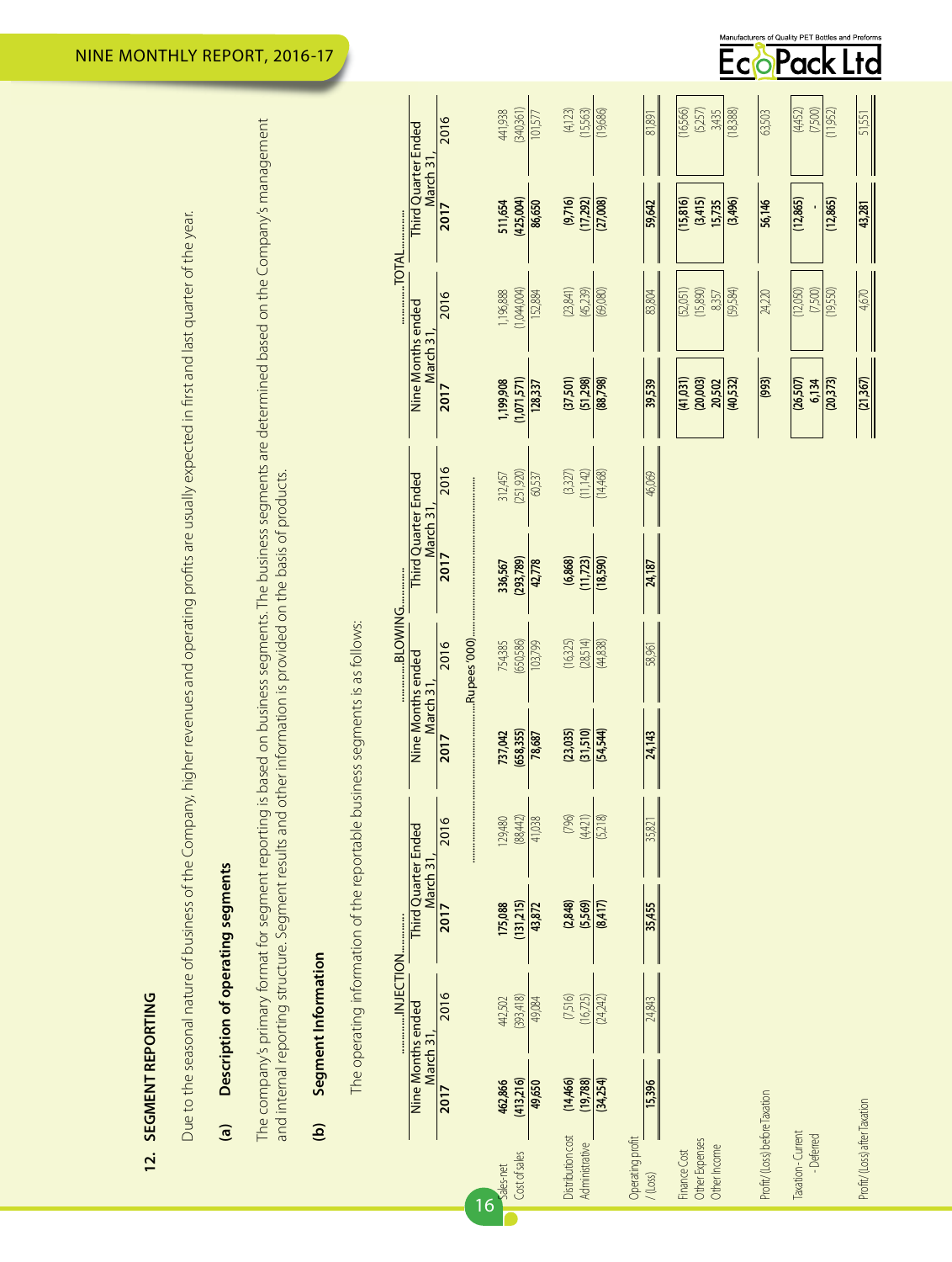| ī      |
|--------|
|        |
|        |
|        |
| I      |
| i<br>í |
|        |
|        |
| :      |
|        |

Due to the seasonal nature of business of the Company, higher revenues and operating profits are usually expected in first and last quarter of the year. Due to the seasonal nature of business of the Company, higher revenues and operating profits are usually expected in first and last quarter of the year.

# Description of operating segments **(a) Description of operating segments**  $\overline{a}$

The company's primary format for segment reporting is based on business segments. The business segments are determined based on the Company's management The company's primary format for segment reporting is based on business segments. The business segments are determined based on the Company's management and internal reporting structure. Segment results and other information is provided on the basis of products. and internal reporting structure. Segment results and other information is provided on the basis of products.

## Segment Information **(b) Segment Information**  $\mathbf{\hat{e}}$

The operating information of the reportable business segments is as follows: The operating information of the reportable business segments is as follows:

|           |                                                  | 2016 |    | 441,938   | (340,361)     | 101,577 | (4,123)           | (15,563)       | (19,686)  |                  | 81,891     | (16,566)     | (5,257)        | 3,435        | (18,388) | 63,503                        | (4,452)                          | (7,500) | (11,952) | 51,551                       |  |
|-----------|--------------------------------------------------|------|----|-----------|---------------|---------|-------------------|----------------|-----------|------------------|------------|--------------|----------------|--------------|----------|-------------------------------|----------------------------------|---------|----------|------------------------------|--|
|           | Third Quarter Ended<br>March 31                  | 2017 |    | 511,654   | (425,004)     | 86,650  | (9,716)           | (17,292)       | (27,008)  |                  | 59,642     | (15, 816)    | (3,415)        | 15,735       | (3,496)  | 56,146                        | (12,865)                         |         | (12,865) | 43,281                       |  |
|           |                                                  | 2016 |    | 1,196,888 | (1,044,004)   | 152,884 | (23,841)          | (45,239)       | (080)     |                  | 83,804     | (52,051)     | (15,890)       | 8357         | (59,584) | 24,220                        | (12,050)                         | (7500)  | (19,550) | 4,670                        |  |
|           | Nine Months ended<br>March 31                    | 2017 |    | 1,199,908 | (1,071,571)   | 128,337 | (37,501)          | (51,298)       | (88, 798) |                  | 39,539     | (41,031)     | (20,003)       | 20,502       | (40,532) | (993)                         | (26, 507)                        | 6,134   | (20,373) | $\frac{(21,367)}{2}$         |  |
|           |                                                  | 2016 |    | 312,457   | (251,920)     | 60,537  | $(3327)$          | (11,142)       | (14,468)  |                  | 46,069     |              |                |              |          |                               |                                  |         |          |                              |  |
|           | <b>Third Quarter Ended</b><br>March <sub>3</sub> | 2017 |    | 336,567   | (293,789)     | 42,778  | (6,868)           | (11, 723)      | (18,590)  |                  | 24,187     |              |                |              |          |                               |                                  |         |          |                              |  |
| BLOWING   |                                                  | 2016 |    | 754,385   | (650,586)     | 103,799 | (16,325)          | (28,514)       | (44,838)  |                  | 58,961     |              |                |              |          |                               |                                  |         |          |                              |  |
|           | Nine Months ended<br>March 3 <sup>-</sup>        | 2017 |    | 737,042   | (658, 355)    | 78,687  | (23, 035)         | (31,510)       | (54,544)  |                  | 24,143     |              |                |              |          |                               |                                  |         |          |                              |  |
|           |                                                  | 2016 |    | 129,480   | (88, 442)     | 41,038  | (796)             | (4,421)        | (5,218)   |                  | 35,821     |              |                |              |          |                               |                                  |         |          |                              |  |
|           | <b>Third Quarter Ended</b><br>March 31           | 2017 |    | 175,088   | (131,215)     | 43,872  | (2,848)           | (5,569)        | (214)     |                  | 35,455     |              |                |              |          |                               |                                  |         |          |                              |  |
| INJECTION |                                                  | 2016 |    | 442,502   | (393, 418)    | 49,084  | (7,516)           | (16,725)       | (24,242)  |                  | 24.843     |              |                |              |          |                               |                                  |         |          |                              |  |
|           | <b>Nine Months ended</b><br>March 31             | 2017 |    | 462,866   | (413,216)     | 49,650  | (14,466)          | (19,788)       | (34,254)  |                  | 15,396     |              |                |              |          |                               |                                  |         |          |                              |  |
|           |                                                  |      | 16 | Sales-net | Cost of sales |         | Distribution cost | Administrative |           | Operating profit | $/$ (Loss) | Finance Cost | Other Expenses | Other Income |          | Profit/(Loss) before Taxation | Taxation - Current<br>- Deferred |         |          | Profit/(Loss) after Taxation |  |

Manufacturers of Quality PET Bottles and Preforms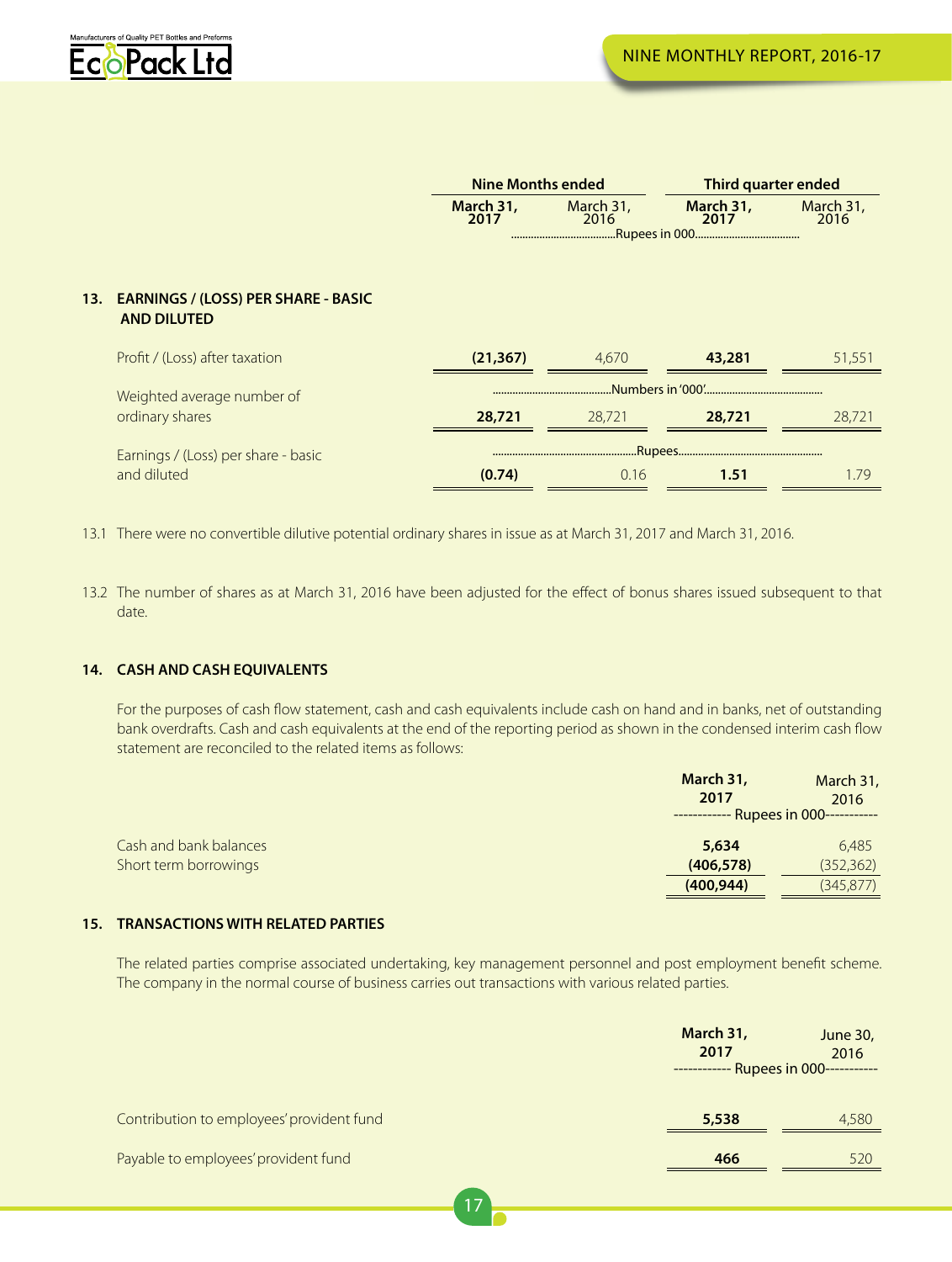

|                                                                                                                                                                                                                                                                                                                                                     | <b>Nine Months ended</b> |                                      | Third quarter ended                                        |                                   |
|-----------------------------------------------------------------------------------------------------------------------------------------------------------------------------------------------------------------------------------------------------------------------------------------------------------------------------------------------------|--------------------------|--------------------------------------|------------------------------------------------------------|-----------------------------------|
|                                                                                                                                                                                                                                                                                                                                                     | March 31,<br>2017        | March 31,<br>2016<br>.Rupees in 000. | March 31,<br>2017                                          | March 31,<br>2016                 |
| 13. EARNINGS / (LOSS) PER SHARE - BASIC<br><b>AND DILUTED</b>                                                                                                                                                                                                                                                                                       |                          |                                      |                                                            |                                   |
| Profit / (Loss) after taxation                                                                                                                                                                                                                                                                                                                      | (21, 367)                | 4,670                                | 43,281                                                     | 51,551                            |
| Weighted average number of                                                                                                                                                                                                                                                                                                                          |                          |                                      | Numbers in '000'                                           |                                   |
| ordinary shares                                                                                                                                                                                                                                                                                                                                     | 28,721                   | 28,721                               | 28,721                                                     | 28,721                            |
| Earnings / (Loss) per share - basic<br>and diluted                                                                                                                                                                                                                                                                                                  | (0.74)                   | Rupees<br>0.16                       | 1.51                                                       | 1.79                              |
| 13.1 There were no convertible dilutive potential ordinary shares in issue as at March 31, 2017 and March 31, 2016.                                                                                                                                                                                                                                 |                          |                                      |                                                            |                                   |
| 13.2 The number of shares as at March 31, 2016 have been adjusted for the effect of bonus shares issued subsequent to that<br>date.                                                                                                                                                                                                                 |                          |                                      |                                                            |                                   |
| 14. CASH AND CASH EQUIVALENTS<br>For the purposes of cash flow statement, cash and cash equivalents include cash on hand and in banks, net of outstanding<br>bank overdrafts. Cash and cash equivalents at the end of the reporting period as shown in the condensed interim cash flow<br>statement are reconciled to the related items as follows: |                          |                                      | March 31,                                                  | March 31,                         |
|                                                                                                                                                                                                                                                                                                                                                     |                          |                                      | 2017<br>------------ Rupees in 000-----------              | 2016                              |
| Cash and bank balances<br>Short term borrowings                                                                                                                                                                                                                                                                                                     |                          |                                      | 5,634<br>(406, 578)<br>(400, 944)                          | 6,485<br>(352, 362)<br>(345, 877) |
| 15. TRANSACTIONS WITH RELATED PARTIES                                                                                                                                                                                                                                                                                                               |                          |                                      |                                                            |                                   |
| The related parties comprise associated undertaking, key management personnel and post employment benefit scheme<br>The company in the normal course of business carries out transactions with various related parties.                                                                                                                             |                          |                                      |                                                            |                                   |
|                                                                                                                                                                                                                                                                                                                                                     |                          |                                      | March 31,<br>2017<br>------------ Rupees in 000----------- | June 30,<br>2016                  |
| Contribution to employees' provident fund                                                                                                                                                                                                                                                                                                           |                          |                                      | 5,538                                                      | 4,580                             |
| Payable to employees' provident fund                                                                                                                                                                                                                                                                                                                |                          |                                      | 466                                                        | 520                               |

### **14. CASH AND CASH EQUIVALENTS**

|                        | March 31,<br>2017<br>------------ Rupees in 000----------- | March 31,<br>2016 |
|------------------------|------------------------------------------------------------|-------------------|
| Cash and bank balances | 5.634                                                      | 6,485             |
| Short term borrowings  | (406, 578)                                                 | (352, 362)        |
|                        | (400, 944)                                                 | (345, 877)        |

## **15. TRANSACTIONS WITH RELATED PARTIES**

|                                           | March 31,<br>2017<br>------------ Rupees in 000----------- | June 30,<br>2016 |
|-------------------------------------------|------------------------------------------------------------|------------------|
| Contribution to employees' provident fund | 5,538                                                      | 4,580            |
| Payable to employees' provident fund      | 466                                                        | 520              |
|                                           |                                                            |                  |